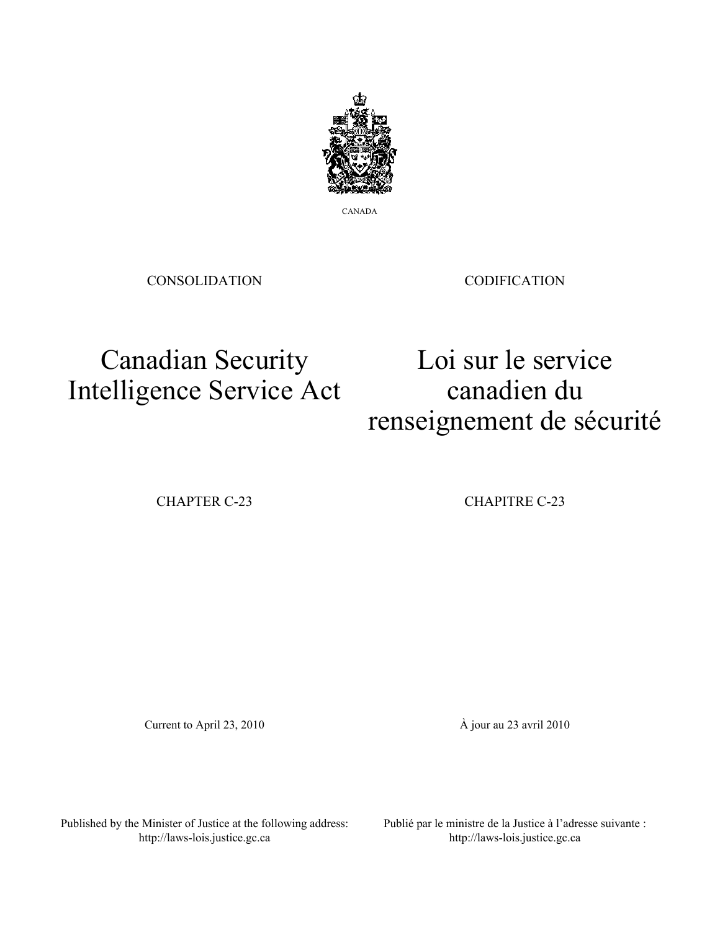

CANADA

CONSOLIDATION

CODIFICATION

# Canadian Security Intelligence Service Act

Loi sur le service canadien du renseignement de sécurité

CHAPTER C-23 CHAPITRE C-23

Current to April 23, 2010 À jour au 23 avril 2010

Published by the Minister of Justice at the following address: http://laws-lois.justice.gc.ca

Publié par le ministre de la Justice à l'adresse suivante : http://laws-lois.justice.gc.ca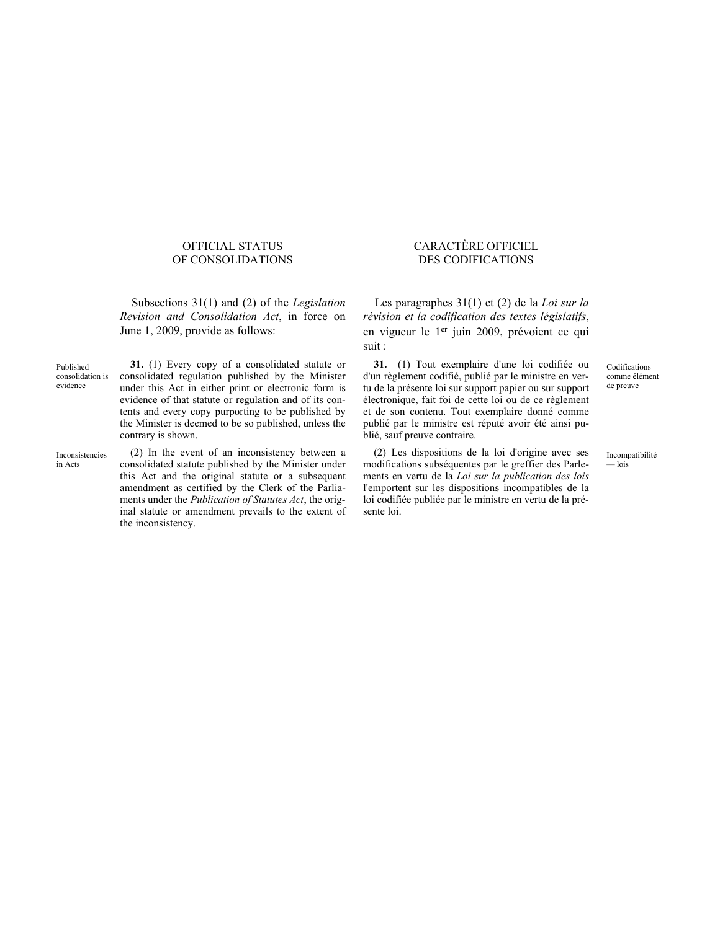# OFFICIAL STATUS OF CONSOLIDATIONS

Subsections 31(1) and (2) of the *Legislation Revision and Consolidation Act*, in force on June 1, 2009, provide as follows:

Published consolidation is evidence **31.** (1) Every copy of a consolidated statute or

consolidated regulation published by the Minister under this Act in either print or electronic form is evidence of that statute or regulation and of its contents and every copy purporting to be published by the Minister is deemed to be so published, unless the contrary is shown.

Inconsistencies in Acts

(2) In the event of an inconsistency between a consolidated statute published by the Minister under this Act and the original statute or a subsequent amendment as certified by the Clerk of the Parliaments under the *Publication of Statutes Act*, the original statute or amendment prevails to the extent of the inconsistency.

# CARACTÈRE OFFICIEL DES CODIFICATIONS

Les paragraphes 31(1) et (2) de la *Loi sur la révision et la codification des textes législatifs*, en vigueur le 1<sup>er</sup> juin 2009, prévoient ce qui suit :

**31.** (1) Tout exemplaire d'une loi codifiée ou d'un règlement codifié, publié par le ministre en vertu de la présente loi sur support papier ou sur support électronique, fait foi de cette loi ou de ce règlement et de son contenu. Tout exemplaire donné comme publié par le ministre est réputé avoir été ainsi publié, sauf preuve contraire.

(2) Les dispositions de la loi d'origine avec ses modifications subséquentes par le greffier des Parlements en vertu de la *Loi sur la publication des lois* l'emportent sur les dispositions incompatibles de la loi codifiée publiée par le ministre en vertu de la présente loi.

Codifications comme élément de preuve

Incompatibilité — lois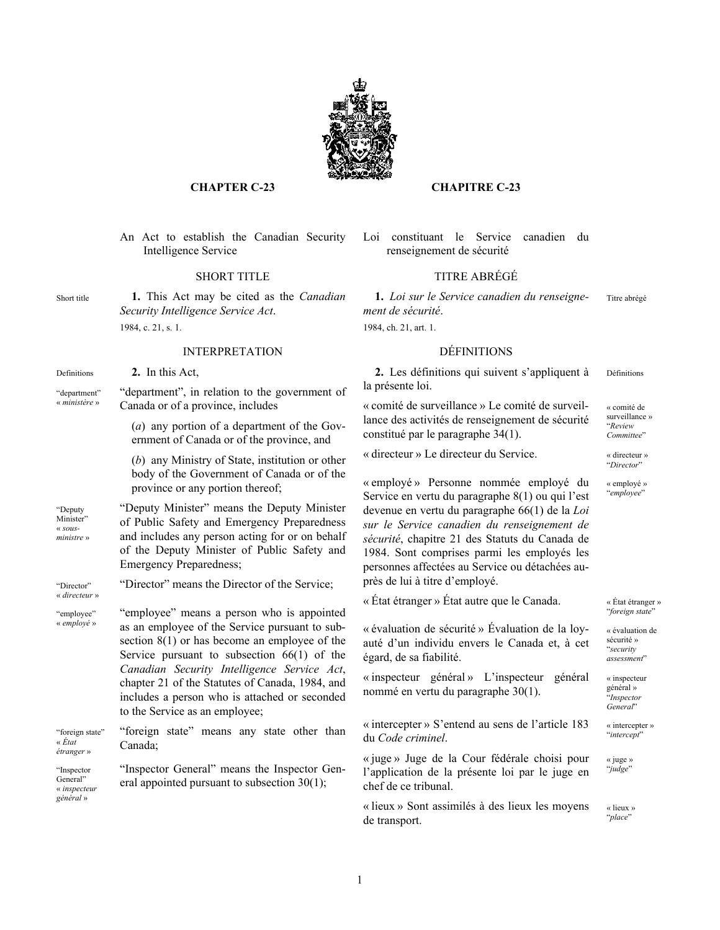

# **CHAPTER C-23 CHAPITRE C-23**

An Act to establish the Canadian Security Intelligence Service

Short title **1.** This Act may be cited as the *Canadian Security Intelligence Service Act*. 1984, c. 21, s. 1.

# INTERPRETATION DÉFINITIONS

Definitions **2.** In this Act,

"department" « *ministère* » "department", in relation to the government of Canada or of a province, includes

> (*a*) any portion of a department of the Government of Canada or of the province, and

(*b*) any Ministry of State, institution or other body of the Government of Canada or of the province or any portion thereof;

"Deputy Minister" « *sousministre* » "Deputy Minister" means the Deputy Minister of Public Safety and Emergency Preparedness and includes any person acting for or on behalf of the Deputy Minister of Public Safety and Emergency Preparedness;

"Director" « *directeur* »

"employee" « *employé* » "employee" means a person who is appointed as an employee of the Service pursuant to subsection 8(1) or has become an employee of the Service pursuant to subsection 66(1) of the *Canadian Security Intelligence Service Act*, chapter 21 of the Statutes of Canada, 1984, and includes a person who is attached or seconded to the Service as an employee;

"Director" means the Director of the Service;

"foreign state" « *État étranger* » "foreign state" means any state other than Canada;

"Inspector General" « *inspecteur général* » "Inspector General" means the Inspector General appointed pursuant to subsection 30(1);

# Loi constituant le Service canadien du renseignement de sécurité

# SHORT TITLE TITRE ABRÉGÉ

**1.** *Loi sur le Service canadien du renseignement de sécurité*. Titre abrégé

1984, ch. 21, art. 1.

**2.** Les définitions qui suivent s'appliquent à la présente loi. Définitions

« comité de surveillance » Le comité de surveillance des activités de renseignement de sécurité constitué par le paragraphe 34(1).

« comité de surveillance » "*Review Committee*"

"*Director*"

« employé » "*employee*"

« directeur » Le directeur du Service. « directeur »

« employé » Personne nommée employé du Service en vertu du paragraphe 8(1) ou qui l'est devenue en vertu du paragraphe 66(1) de la *Loi sur le Service canadien du renseignement de sécurité*, chapitre 21 des Statuts du Canada de 1984. Sont comprises parmi les employés les personnes affectées au Service ou détachées auprès de lui à titre d'employé.

« État étranger » État autre que le Canada. « État étranger »

« évaluation de sécurité » Évaluation de la loyauté d'un individu envers le Canada et, à cet égard, de sa fiabilité.

« inspecteur général » L'inspecteur général nommé en vertu du paragraphe 30(1).

« intercepter » S'entend au sens de l'article 183 du *Code criminel*.

« juge » Juge de la Cour fédérale choisi pour l'application de la présente loi par le juge en chef de ce tribunal.

« lieux » Sont assimilés à des lieux les moyens de transport.

"*foreign state*"

« évaluation de sécurité » "*security assessment*"

« inspecteur général » "*Inspector General*"

« intercepter » "*intercept*"

« juge » "*judge*"

« lieux » "*place*"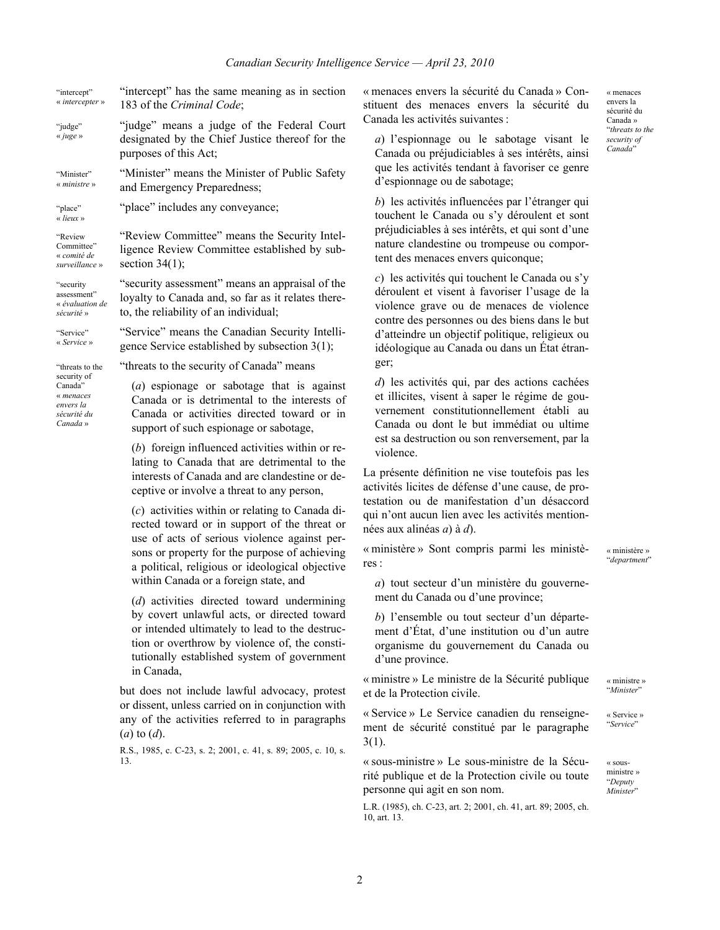| "intercept"<br>« intercepter »                                                                 | "intercept" has the same meaning as in section<br>183 of the Criminal Code;                                                                                                                                                                                                                    |
|------------------------------------------------------------------------------------------------|------------------------------------------------------------------------------------------------------------------------------------------------------------------------------------------------------------------------------------------------------------------------------------------------|
| "judge"<br>« juge »                                                                            | "judge" means a judge of the Federal Court<br>designated by the Chief Justice thereof for the<br>purposes of this Act;                                                                                                                                                                         |
| "Minister"<br>« ministre »                                                                     | "Minister" means the Minister of Public Safety<br>and Emergency Preparedness;                                                                                                                                                                                                                  |
| "place"<br>« lieux »                                                                           | "place" includes any conveyance;                                                                                                                                                                                                                                                               |
| "Review<br>Committee"<br>« comité de<br>surveillance »                                         | "Review Committee" means the Security Intel-<br>ligence Review Committee established by sub-<br>section $34(1)$ ;                                                                                                                                                                              |
| "security<br>assessment"<br>« évaluation de<br>sécurité »                                      | "security assessment" means an appraisal of the<br>loyalty to Canada and, so far as it relates there-<br>to, the reliability of an individual;                                                                                                                                                 |
| "Service"<br>« Service »                                                                       | "Service" means the Canadian Security Intelli-<br>gence Service established by subsection 3(1);                                                                                                                                                                                                |
| "threats to the<br>security of<br>Canada"<br>« menaces<br>envers la<br>sécurité du<br>Canada » | "threats to the security of Canada" means                                                                                                                                                                                                                                                      |
|                                                                                                | $(a)$ espionage or sabotage that is against<br>Canada or is detrimental to the interests of<br>Canada or activities directed toward or in<br>support of such espionage or sabotage,                                                                                                            |
|                                                                                                | $(b)$ foreign influenced activities within or re-<br>lating to Canada that are detrimental to the<br>interests of Canada and are clandestine or de-<br>ceptive or involve a threat to any person,                                                                                              |
|                                                                                                | $(c)$ activities within or relating to Canada di-<br>rected toward or in support of the threat or<br>use of acts of serious violence against per-<br>sons or property for the purpose of achieving<br>a political, religious or ideological objective<br>within Canada or a foreign state, and |

(*d*) activities directed toward undermining by covert unlawful acts, or directed toward or intended ultimately to lead to the destruction or overthrow by violence of, the constitutionally established system of government in Canada,

but does not include lawful advocacy, protest or dissent, unless carried on in conjunction with any of the activities referred to in paragraphs (*a*) to (*d*).

R.S., 1985, c. C-23, s. 2; 2001, c. 41, s. 89; 2005, c. 10, s. 13.

« menaces envers la sécurité du Canada » Constituent des menaces envers la sécurité du Canada les activités suivantes :

*a*) l'espionnage ou le sabotage visant le Canada ou préjudiciables à ses intérêts, ainsi que les activités tendant à favoriser ce genre d'espionnage ou de sabotage;

*b*) les activités influencées par l'étranger qui touchent le Canada ou s'y déroulent et sont préjudiciables à ses intérêts, et qui sont d'une nature clandestine ou trompeuse ou comportent des menaces envers quiconque;

*c*) les activités qui touchent le Canada ou s'y déroulent et visent à favoriser l'usage de la violence grave ou de menaces de violence contre des personnes ou des biens dans le but d'atteindre un objectif politique, religieux ou idéologique au Canada ou dans un État étranger;

*d*) les activités qui, par des actions cachées et illicites, visent à saper le régime de gouvernement constitutionnellement établi au Canada ou dont le but immédiat ou ultime est sa destruction ou son renversement, par la violence.

La présente définition ne vise toutefois pas les activités licites de défense d'une cause, de protestation ou de manifestation d'un désaccord qui n'ont aucun lien avec les activités mentionnées aux alinéas *a*) à *d*).

« ministère » Sont compris parmi les ministères :

« ministère » "*department*"

« ministre » "*Minister*"

« Service » "*Service*"

« sousministre » "*Deputy Minister*"

*a*) tout secteur d'un ministère du gouvernement du Canada ou d'une province;

*b*) l'ensemble ou tout secteur d'un département d'État, d'une institution ou d'un autre organisme du gouvernement du Canada ou d'une province.

« ministre » Le ministre de la Sécurité publique et de la Protection civile.

« Service » Le Service canadien du renseignement de sécurité constitué par le paragraphe 3(1).

« sous-ministre » Le sous-ministre de la Sécurité publique et de la Protection civile ou toute personne qui agit en son nom.

L.R. (1985), ch. C-23, art. 2; 2001, ch. 41, art. 89; 2005, ch. 10, art. 13.

« menaces envers la sécurité du Canada » "*threats to the security of Canada*"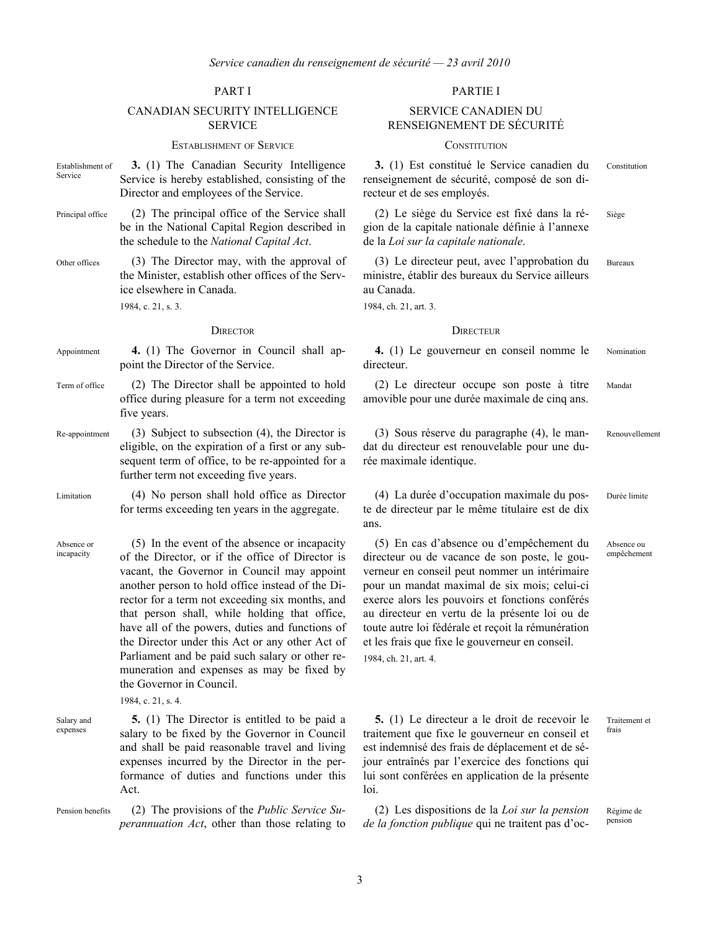# CANADIAN SECURITY INTELLIGENCE **SERVICE**

### ESTABLISHMENT OF SERVICE CONSTITUTION

- Establishment of Service **3.** (1) The Canadian Security Intelligence Service is hereby established, consisting of the Director and employees of the Service.
- Principal office (2) The principal office of the Service shall be in the National Capital Region described in the schedule to the *National Capital Act*.
- Other offices (3) The Director may, with the approval of the Minister, establish other offices of the Service elsewhere in Canada.

1984, c. 21, s. 3.

- Appointment **4.** (1) The Governor in Council shall appoint the Director of the Service.
- Term of office (2) The Director shall be appointed to hold office during pleasure for a term not exceeding five years.
- Re-appointment (3) Subject to subsection (4), the Director is eligible, on the expiration of a first or any subsequent term of office, to be re-appointed for a further term not exceeding five years.
- Limitation (4) No person shall hold office as Director for terms exceeding ten years in the aggregate.
- Absence or incapacity (5) In the event of the absence or incapacity of the Director, or if the office of Director is vacant, the Governor in Council may appoint another person to hold office instead of the Director for a term not exceeding six months, and that person shall, while holding that office, have all of the powers, duties and functions of the Director under this Act or any other Act of Parliament and be paid such salary or other remuneration and expenses as may be fixed by the Governor in Council.
	- 1984, c. 21, s. 4.
- Salary and expenses
- **5.** (1) The Director is entitled to be paid a salary to be fixed by the Governor in Council and shall be paid reasonable travel and living expenses incurred by the Director in the performance of duties and functions under this Act.
- Pension benefits (2) The provisions of the *Public Service Superannuation Act*, other than those relating to

## PART I PARTIE I

# SERVICE CANADIEN DU RENSEIGNEMENT DE SÉCURITÉ

**3.** (1) Est constitué le Service canadien du renseignement de sécurité, composé de son directeur et de ses employés.

(2) Le siège du Service est fixé dans la région de la capitale nationale définie à l'annexe de la *Loi sur la capitale nationale*.

(3) Le directeur peut, avec l'approbation du ministre, établir des bureaux du Service ailleurs au Canada. Bureaux

1984, ch. 21, art. 3.

### DIRECTOR DIRECTEUR

**4.** (1) Le gouverneur en conseil nomme le directeur. Nomination

(2) Le directeur occupe son poste à titre amovible pour une durée maximale de cinq ans. Mandat

(3) Sous réserve du paragraphe (4), le mandat du directeur est renouvelable pour une durée maximale identique.

(4) La durée d'occupation maximale du poste de directeur par le même titulaire est de dix ans.

(5) En cas d'absence ou d'empêchement du directeur ou de vacance de son poste, le gouverneur en conseil peut nommer un intérimaire pour un mandat maximal de six mois; celui-ci exerce alors les pouvoirs et fonctions conférés au directeur en vertu de la présente loi ou de toute autre loi fédérale et reçoit la rémunération et les frais que fixe le gouverneur en conseil.

1984, ch. 21, art. 4.

**5.** (1) Le directeur a le droit de recevoir le traitement que fixe le gouverneur en conseil et est indemnisé des frais de déplacement et de séjour entraînés par l'exercice des fonctions qui lui sont conférées en application de la présente loi.

(2) Les dispositions de la *Loi sur la pension de la fonction publique* qui ne traitent pas d'ocTraitement et frais

Constitution

Renouvellement

Durée limite

Absence ou empêchement

Siège

Régime de pension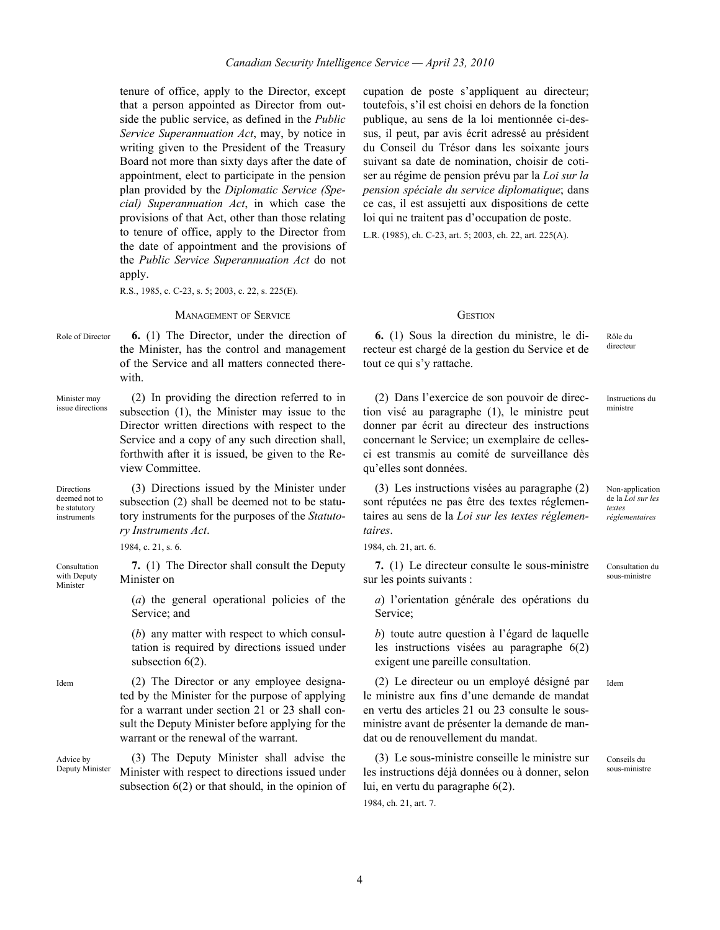tenure of office, apply to the Director, except that a person appointed as Director from outside the public service, as defined in the *Public Service Superannuation Act*, may, by notice in writing given to the President of the Treasury Board not more than sixty days after the date of appointment, elect to participate in the pension plan provided by the *Diplomatic Service (Special) Superannuation Act*, in which case the provisions of that Act, other than those relating to tenure of office, apply to the Director from the date of appointment and the provisions of the *Public Service Superannuation Act* do not apply.

R.S., 1985, c. C-23, s. 5; 2003, c. 22, s. 225(E).

### MANAGEMENT OF SERVICE GESTION

Role of Director **6.** (1) The Director, under the direction of the Minister, has the control and management of the Service and all matters connected therewith.

Minister may issue directions (2) In providing the direction referred to in subsection (1), the Minister may issue to the Director written directions with respect to the Service and a copy of any such direction shall, forthwith after it is issued, be given to the Review Committee.

Directions deemed not to be statutory instruments

Consultation with Deputy Minister

subsection (2) shall be deemed not to be statutory instruments for the purposes of the *Statutory Instruments Act*.

(3) Directions issued by the Minister under

1984, c. 21, s. 6.

**7.** (1) The Director shall consult the Deputy Minister on

(*a*) the general operational policies of the Service; and

(*b*) any matter with respect to which consultation is required by directions issued under subsection  $6(2)$ .

Idem (2) The Director or any employee designated by the Minister for the purpose of applying for a warrant under section 21 or 23 shall consult the Deputy Minister before applying for the warrant or the renewal of the warrant.

Advice by Deputy Minister (3) The Deputy Minister shall advise the Minister with respect to directions issued under subsection 6(2) or that should, in the opinion of cupation de poste s'appliquent au directeur; toutefois, s'il est choisi en dehors de la fonction publique, au sens de la loi mentionnée ci-dessus, il peut, par avis écrit adressé au président du Conseil du Trésor dans les soixante jours suivant sa date de nomination, choisir de cotiser au régime de pension prévu par la *Loi sur la pension spéciale du service diplomatique*; dans ce cas, il est assujetti aux dispositions de cette loi qui ne traitent pas d'occupation de poste. L.R. (1985), ch. C-23, art. 5; 2003, ch. 22, art. 225(A).

**6.** (1) Sous la direction du ministre, le directeur est chargé de la gestion du Service et de tout ce qui s'y rattache.

(2) Dans l'exercice de son pouvoir de direction visé au paragraphe (1), le ministre peut donner par écrit au directeur des instructions concernant le Service; un exemplaire de cellesci est transmis au comité de surveillance dès qu'elles sont données.

ministre

Instructions du

Non-application de la *Loi sur les textes réglementaires*

Rôle du directeur

(3) Les instructions visées au paragraphe (2) sont réputées ne pas être des textes réglementaires au sens de la *Loi sur les textes réglementaires*.

**7.** (1) Le directeur consulte le sous-ministre sur les points suivants :

*a*) l'orientation générale des opérations du Service;

*b*) toute autre question à l'égard de laquelle les instructions visées au paragraphe 6(2) exigent une pareille consultation.

(2) Le directeur ou un employé désigné par le ministre aux fins d'une demande de mandat en vertu des articles 21 ou 23 consulte le sousministre avant de présenter la demande de mandat ou de renouvellement du mandat.

(3) Le sous-ministre conseille le ministre sur les instructions déjà données ou à donner, selon lui, en vertu du paragraphe 6(2).

1984, ch. 21, art. 7.

Consultation du sous-ministre

Idem

Conseils du sous-ministre

4

<sup>1984,</sup> ch. 21, art. 6.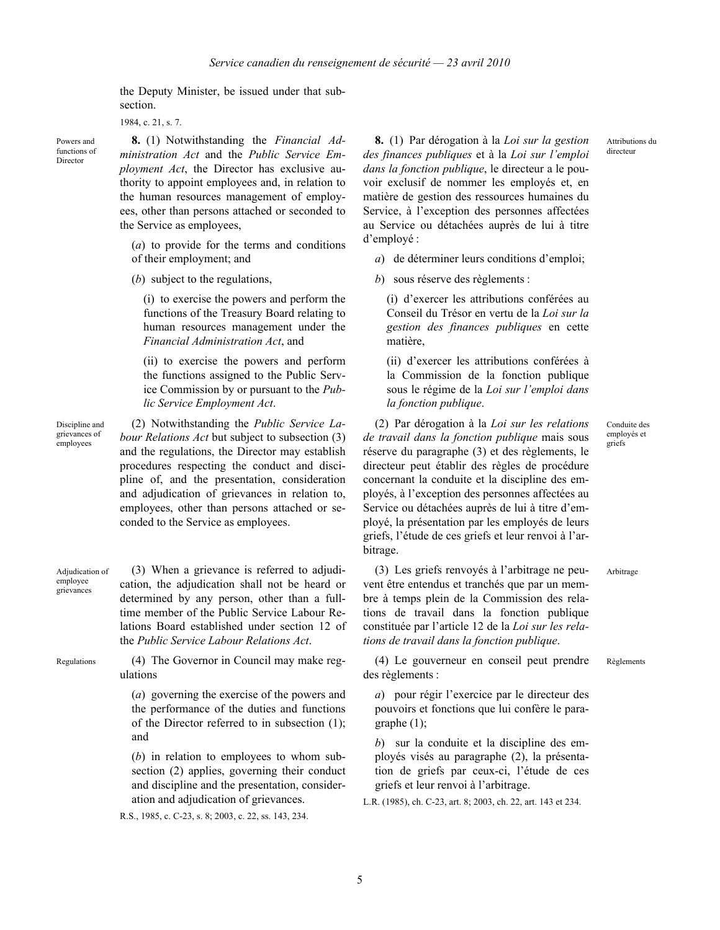the Deputy Minister, be issued under that subsection.

1984, c. 21, s. 7.

Powers and functions of Director

**8.** (1) Notwithstanding the *Financial Administration Act* and the *Public Service Employment Act*, the Director has exclusive authority to appoint employees and, in relation to the human resources management of employees, other than persons attached or seconded to the Service as employees,

(*a*) to provide for the terms and conditions of their employment; and

(*b*) subject to the regulations,

(i) to exercise the powers and perform the functions of the Treasury Board relating to human resources management under the *Financial Administration Act*, and

(ii) to exercise the powers and perform the functions assigned to the Public Service Commission by or pursuant to the *Public Service Employment Act*.

Discipline and grievances of employees

(2) Notwithstanding the *Public Service Labour Relations Act* but subject to subsection (3) and the regulations, the Director may establish procedures respecting the conduct and discipline of, and the presentation, consideration and adjudication of grievances in relation to, employees, other than persons attached or seconded to the Service as employees.

Adjudication of employee grievances

(3) When a grievance is referred to adjudication, the adjudication shall not be heard or determined by any person, other than a fulltime member of the Public Service Labour Relations Board established under section 12 of the *Public Service Labour Relations Act*.

Regulations (4) The Governor in Council may make regulations

> (*a*) governing the exercise of the powers and the performance of the duties and functions of the Director referred to in subsection (1); and

> (*b*) in relation to employees to whom subsection (2) applies, governing their conduct and discipline and the presentation, consideration and adjudication of grievances.

R.S., 1985, c. C-23, s. 8; 2003, c. 22, ss. 143, 234.

**8.** (1) Par dérogation à la *Loi sur la gestion des finances publiques* et à la *Loi sur l'emploi dans la fonction publique*, le directeur a le pouvoir exclusif de nommer les employés et, en matière de gestion des ressources humaines du Service, à l'exception des personnes affectées au Service ou détachées auprès de lui à titre d'employé :

*a*) de déterminer leurs conditions d'emploi;

*b*) sous réserve des règlements :

(i) d'exercer les attributions conférées au Conseil du Trésor en vertu de la *Loi sur la gestion des finances publiques* en cette matière,

(ii) d'exercer les attributions conférées à la Commission de la fonction publique sous le régime de la *Loi sur l'emploi dans la fonction publique*.

(2) Par dérogation à la *Loi sur les relations de travail dans la fonction publique* mais sous réserve du paragraphe (3) et des règlements, le directeur peut établir des règles de procédure concernant la conduite et la discipline des employés, à l'exception des personnes affectées au Service ou détachées auprès de lui à titre d'employé, la présentation par les employés de leurs griefs, l'étude de ces griefs et leur renvoi à l'arbitrage.

(3) Les griefs renvoyés à l'arbitrage ne peuvent être entendus et tranchés que par un membre à temps plein de la Commission des relations de travail dans la fonction publique constituée par l'article 12 de la *Loi sur les relations de travail dans la fonction publique*.

(4) Le gouverneur en conseil peut prendre des règlements : Règlements

*a*) pour régir l'exercice par le directeur des pouvoirs et fonctions que lui confère le paragraphe (1);

*b*) sur la conduite et la discipline des employés visés au paragraphe (2), la présentation de griefs par ceux-ci, l'étude de ces griefs et leur renvoi à l'arbitrage.

L.R. (1985), ch. C-23, art. 8; 2003, ch. 22, art. 143 et 234.

Attributions du directeur

Conduite des employés et griefs

Arbitrage

5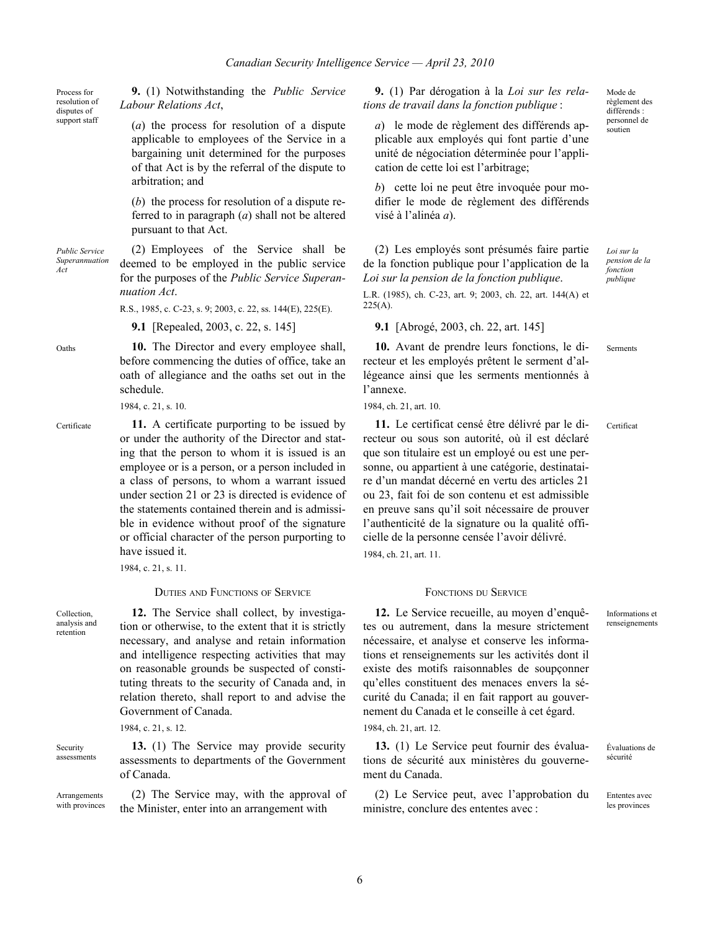**9.** (1) Notwithstanding the *Public Service Labour Relations Act*,

> (*a*) the process for resolution of a dispute applicable to employees of the Service in a bargaining unit determined for the purposes of that Act is by the referral of the dispute to arbitration; and

> (*b*) the process for resolution of a dispute referred to in paragraph (*a*) shall not be altered pursuant to that Act.

*Public Service Superannuation Act* (2) Employees of the Service shall be deemed to be employed in the public service for the purposes of the *Public Service Superannuation Act*.

R.S., 1985, c. C-23, s. 9; 2003, c. 22, ss. 144(E), 225(E).

**9.1** [Repealed, 2003, c. 22, s. 145] **9.1** [Abrogé, 2003, ch. 22, art. 145]

Oaths **10.** The Director and every employee shall, before commencing the duties of office, take an oath of allegiance and the oaths set out in the schedule.

1984, c. 21, s. 10.

Certificate **11.** A certificate purporting to be issued by or under the authority of the Director and stating that the person to whom it is issued is an employee or is a person, or a person included in a class of persons, to whom a warrant issued under section 21 or 23 is directed is evidence of the statements contained therein and is admissible in evidence without proof of the signature or official character of the person purporting to have issued it.

1984, c. 21, s. 11.

**DUTIES AND FUNCTIONS OF SERVICE** FONCTIONS DU SERVICE

Collection, analysis and retention

Security

Process for resolution of disputes of support staff

> **12.** The Service shall collect, by investigation or otherwise, to the extent that it is strictly necessary, and analyse and retain information and intelligence respecting activities that may on reasonable grounds be suspected of constituting threats to the security of Canada and, in relation thereto, shall report to and advise the Government of Canada.

1984, c. 21, s. 12.

assessments **13.** (1) The Service may provide security assessments to departments of the Government of Canada.

Arrangements with provinces (2) The Service may, with the approval of the Minister, enter into an arrangement with

**9.** (1) Par dérogation à la *Loi sur les relations de travail dans la fonction publique* :

*a*) le mode de règlement des différends applicable aux employés qui font partie d'une unité de négociation déterminée pour l'application de cette loi est l'arbitrage;

*b*) cette loi ne peut être invoquée pour modifier le mode de règlement des différends visé à l'alinéa *a*).

(2) Les employés sont présumés faire partie de la fonction publique pour l'application de la *Loi sur la pension de la fonction publique*.

L.R. (1985), ch. C-23, art. 9; 2003, ch. 22, art. 144(A) et  $225(A)$ .

**10.** Avant de prendre leurs fonctions, le directeur et les employés prêtent le serment d'allégeance ainsi que les serments mentionnés à l'annexe.

1984, ch. 21, art. 10.

**11.** Le certificat censé être délivré par le directeur ou sous son autorité, où il est déclaré que son titulaire est un employé ou est une personne, ou appartient à une catégorie, destinataire d'un mandat décerné en vertu des articles 21 ou 23, fait foi de son contenu et est admissible en preuve sans qu'il soit nécessaire de prouver l'authenticité de la signature ou la qualité officielle de la personne censée l'avoir délivré. 1984, ch. 21, art. 11.

**12.** Le Service recueille, au moyen d'enquêtes ou autrement, dans la mesure strictement nécessaire, et analyse et conserve les informations et renseignements sur les activités dont il existe des motifs raisonnables de soupçonner qu'elles constituent des menaces envers la sécurité du Canada; il en fait rapport au gouvernement du Canada et le conseille à cet égard.

1984, ch. 21, art. 12.

**13.** (1) Le Service peut fournir des évaluations de sécurité aux ministères du gouvernement du Canada.

(2) Le Service peut, avec l'approbation du ministre, conclure des ententes avec :

Mode de règlement des différends personnel de soutien

*Loi sur la pension de la fonction publique*

Serments

Certificat

Informations et renseignements

Évaluations de sécurité

Ententes avec les provinces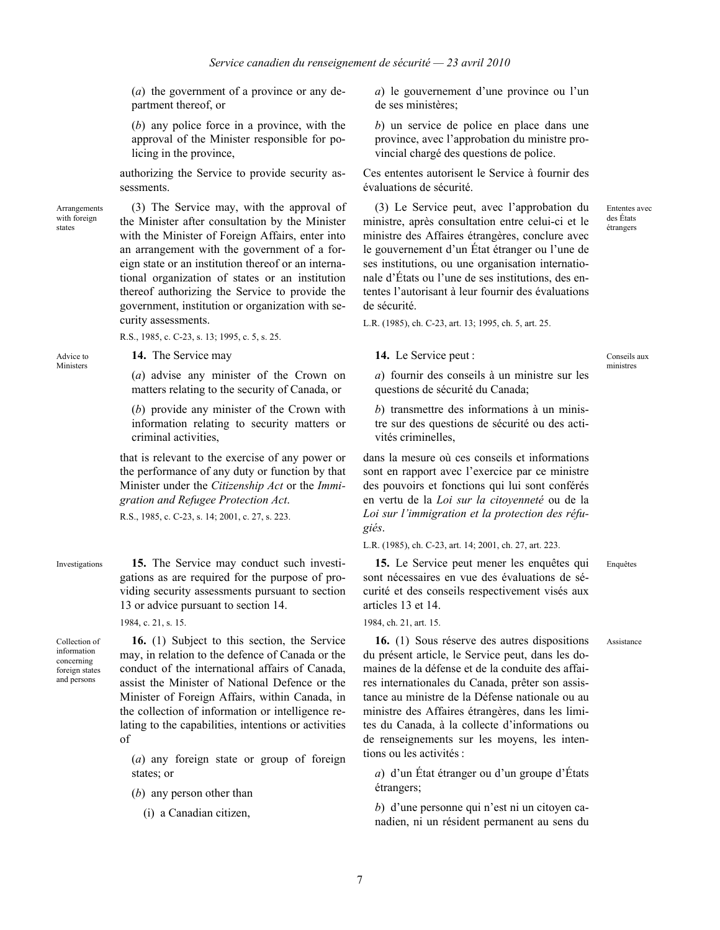(*a*) the government of a province or any department thereof, or

(*b*) any police force in a province, with the approval of the Minister responsible for policing in the province,

authorizing the Service to provide security assessments.

Arrangements with foreign states

Advice to Ministers

(3) The Service may, with the approval of the Minister after consultation by the Minister with the Minister of Foreign Affairs, enter into an arrangement with the government of a foreign state or an institution thereof or an international organization of states or an institution thereof authorizing the Service to provide the government, institution or organization with security assessments.

R.S., 1985, c. C-23, s. 13; 1995, c. 5, s. 25.

**14.** The Service may

(*a*) advise any minister of the Crown on matters relating to the security of Canada, or

(*b*) provide any minister of the Crown with information relating to security matters or criminal activities,

that is relevant to the exercise of any power or the performance of any duty or function by that Minister under the *Citizenship Act* or the *Immigration and Refugee Protection Act*.

R.S., 1985, c. C-23, s. 14; 2001, c. 27, s. 223.

Investigations **15.** The Service may conduct such investigations as are required for the purpose of providing security assessments pursuant to section 13 or advice pursuant to section 14.

1984, c. 21, s. 15.

Collection of information concerning foreign states and persons

**16.** (1) Subject to this section, the Service may, in relation to the defence of Canada or the conduct of the international affairs of Canada, assist the Minister of National Defence or the Minister of Foreign Affairs, within Canada, in the collection of information or intelligence relating to the capabilities, intentions or activities of

(*a*) any foreign state or group of foreign states; or

- (*b*) any person other than
	- (i) a Canadian citizen,

*a*) le gouvernement d'une province ou l'un de ses ministères;

*b*) un service de police en place dans une province, avec l'approbation du ministre provincial chargé des questions de police.

Ces ententes autorisent le Service à fournir des évaluations de sécurité.

(3) Le Service peut, avec l'approbation du ministre, après consultation entre celui-ci et le ministre des Affaires étrangères, conclure avec le gouvernement d'un État étranger ou l'une de ses institutions, ou une organisation internationale d'États ou l'une de ses institutions, des ententes l'autorisant à leur fournir des évaluations de sécurité.

L.R. (1985), ch. C-23, art. 13; 1995, ch. 5, art. 25.

**14.** Le Service peut :

Conseils aux ministres

Enquêtes

Assistance

Ententes avec des États étrangers

*a*) fournir des conseils à un ministre sur les questions de sécurité du Canada;

*b*) transmettre des informations à un ministre sur des questions de sécurité ou des activités criminelles,

dans la mesure où ces conseils et informations sont en rapport avec l'exercice par ce ministre des pouvoirs et fonctions qui lui sont conférés en vertu de la *Loi sur la citoyenneté* ou de la *Loi sur l'immigration et la protection des réfugiés*.

L.R. (1985), ch. C-23, art. 14; 2001, ch. 27, art. 223.

**15.** Le Service peut mener les enquêtes qui sont nécessaires en vue des évaluations de sécurité et des conseils respectivement visés aux articles 13 et 14.

1984, ch. 21, art. 15.

**16.** (1) Sous réserve des autres dispositions du présent article, le Service peut, dans les domaines de la défense et de la conduite des affaires internationales du Canada, prêter son assistance au ministre de la Défense nationale ou au ministre des Affaires étrangères, dans les limites du Canada, à la collecte d'informations ou de renseignements sur les moyens, les intentions ou les activités :

*a*) d'un État étranger ou d'un groupe d'États étrangers;

*b*) d'une personne qui n'est ni un citoyen canadien, ni un résident permanent au sens du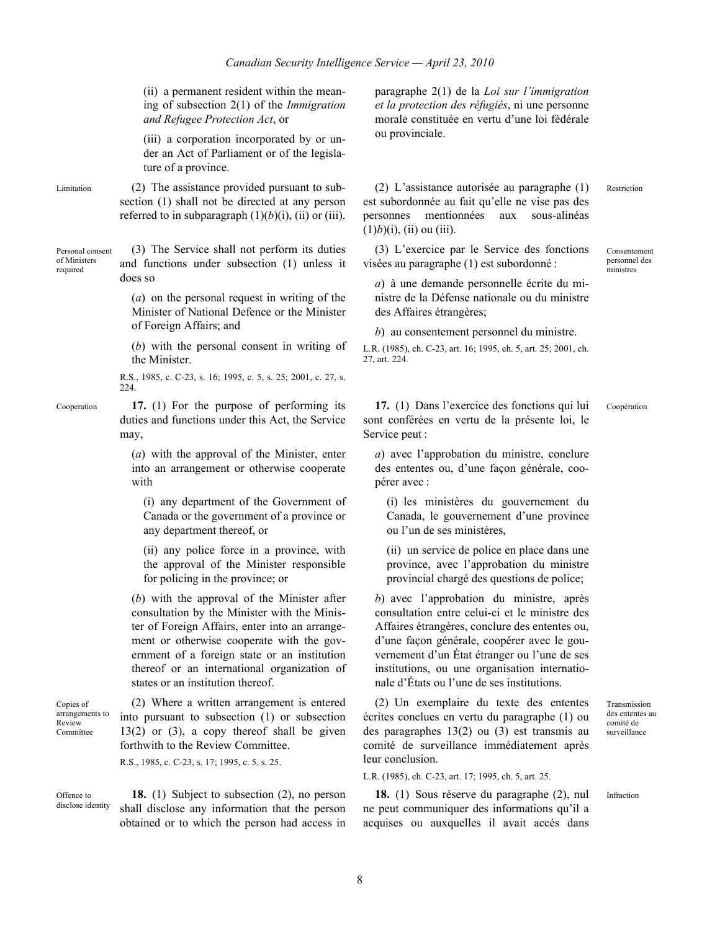(ii) a permanent resident within the meaning of subsection 2(1) of the *Immigration and Refugee Protection Act*, or

(iii) a corporation incorporated by or under an Act of Parliament or of the legislature of a province.

Limitation (2) The assistance provided pursuant to subsection (1) shall not be directed at any person referred to in subparagraph  $(1)(b)(i)$ ,  $(ii)$  or  $(iii)$ .

Personal consent of Ministers required (3) The Service shall not perform its duties and functions under subsection (1) unless it does so

> (*a*) on the personal request in writing of the Minister of National Defence or the Minister of Foreign Affairs; and

> (*b*) with the personal consent in writing of the Minister.

R.S., 1985, c. C-23, s. 16; 1995, c. 5, s. 25; 2001, c. 27, s. 224.

Cooperation **17.** (1) For the purpose of performing its duties and functions under this Act, the Service may,

> (*a*) with the approval of the Minister, enter into an arrangement or otherwise cooperate with

(i) any department of the Government of Canada or the government of a province or any department thereof, or

(ii) any police force in a province, with the approval of the Minister responsible for policing in the province; or

(*b*) with the approval of the Minister after consultation by the Minister with the Minister of Foreign Affairs, enter into an arrangement or otherwise cooperate with the government of a foreign state or an institution thereof or an international organization of states or an institution thereof.

Copies of arrangements to Review Committee

(2) Where a written arrangement is entered into pursuant to subsection (1) or subsection 13(2) or (3), a copy thereof shall be given forthwith to the Review Committee.

R.S., 1985, c. C-23, s. 17; 1995, c. 5, s. 25.

Offence to disclose identity **18.** (1) Subject to subsection (2), no person shall disclose any information that the person obtained or to which the person had access in paragraphe 2(1) de la *Loi sur l'immigration et la protection des réfugiés*, ni une personne morale constituée en vertu d'une loi fédérale ou provinciale.

(2) L'assistance autorisée au paragraphe (1) est subordonnée au fait qu'elle ne vise pas des personnes mentionnées aux sous-alinéas  $(1)b$  $(i)$ ,  $(ii)$  ou  $(iii)$ .

(3) L'exercice par le Service des fonctions visées au paragraphe (1) est subordonné :

Consentement personnel des .<br>ministres

Restriction

*a*) à une demande personnelle écrite du ministre de la Défense nationale ou du ministre des Affaires étrangères;

*b*) au consentement personnel du ministre.

L.R. (1985), ch. C-23, art. 16; 1995, ch. 5, art. 25; 2001, ch. 27, art. 224.

**17.** (1) Dans l'exercice des fonctions qui lui sont conférées en vertu de la présente loi, le Service peut :

Coopération

*a*) avec l'approbation du ministre, conclure des ententes ou, d'une façon générale, coopérer avec :

(i) les ministères du gouvernement du Canada, le gouvernement d'une province ou l'un de ses ministères,

(ii) un service de police en place dans une province, avec l'approbation du ministre provincial chargé des questions de police;

*b*) avec l'approbation du ministre, après consultation entre celui-ci et le ministre des Affaires étrangères, conclure des ententes ou, d'une façon générale, coopérer avec le gouvernement d'un État étranger ou l'une de ses institutions, ou une organisation internationale d'États ou l'une de ses institutions.

(2) Un exemplaire du texte des ententes écrites conclues en vertu du paragraphe (1) ou des paragraphes 13(2) ou (3) est transmis au comité de surveillance immédiatement après leur conclusion.

L.R. (1985), ch. C-23, art. 17; 1995, ch. 5, art. 25.

**18.** (1) Sous réserve du paragraphe (2), nul ne peut communiquer des informations qu'il a acquises ou auxquelles il avait accès dans

Transmission des ententes au comité de surveillance

Infraction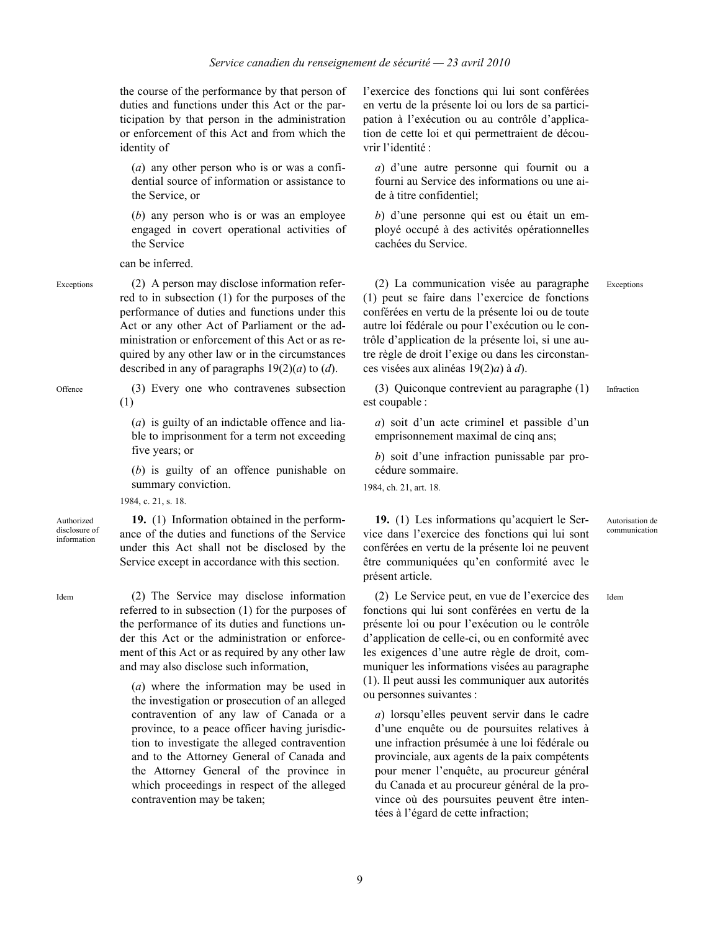the course of the performance by that person of duties and functions under this Act or the participation by that person in the administration or enforcement of this Act and from which the identity of

(*a*) any other person who is or was a confidential source of information or assistance to the Service, or

(*b*) any person who is or was an employee engaged in covert operational activities of the Service

can be inferred.

Exceptions (2) A person may disclose information referred to in subsection (1) for the purposes of the performance of duties and functions under this Act or any other Act of Parliament or the administration or enforcement of this Act or as required by any other law or in the circumstances described in any of paragraphs 19(2)(*a*) to (*d*).

Offence (3) Every one who contravenes subsection (1)

> (*a*) is guilty of an indictable offence and liable to imprisonment for a term not exceeding five years; or

> (*b*) is guilty of an offence punishable on summary conviction.

> **19.** (1) Information obtained in the perform-

1984, c. 21, s. 18.

Authorized disclosure of information

ance of the duties and functions of the Service under this Act shall not be disclosed by the Service except in accordance with this section.

Idem (2) The Service may disclose information referred to in subsection (1) for the purposes of the performance of its duties and functions under this Act or the administration or enforcement of this Act or as required by any other law and may also disclose such information,

> (*a*) where the information may be used in the investigation or prosecution of an alleged contravention of any law of Canada or a province, to a peace officer having jurisdiction to investigate the alleged contravention and to the Attorney General of Canada and the Attorney General of the province in which proceedings in respect of the alleged contravention may be taken;

l'exercice des fonctions qui lui sont conférées en vertu de la présente loi ou lors de sa participation à l'exécution ou au contrôle d'application de cette loi et qui permettraient de découvrir l'identité :

*a*) d'une autre personne qui fournit ou a fourni au Service des informations ou une aide à titre confidentiel;

*b*) d'une personne qui est ou était un employé occupé à des activités opérationnelles cachées du Service.

(2) La communication visée au paragraphe (1) peut se faire dans l'exercice de fonctions conférées en vertu de la présente loi ou de toute autre loi fédérale ou pour l'exécution ou le contrôle d'application de la présente loi, si une autre règle de droit l'exige ou dans les circonstances visées aux alinéas 19(2)*a*) à *d*). Exceptions

(3) Quiconque contrevient au paragraphe (1) est coupable : Infraction

*a*) soit d'un acte criminel et passible d'un emprisonnement maximal de cinq ans;

*b*) soit d'une infraction punissable par procédure sommaire.

1984, ch. 21, art. 18.

ou personnes suivantes :

**19.** (1) Les informations qu'acquiert le Service dans l'exercice des fonctions qui lui sont conférées en vertu de la présente loi ne peuvent être communiquées qu'en conformité avec le présent article.

Autorisation de communication

Idem

(2) Le Service peut, en vue de l'exercice des fonctions qui lui sont conférées en vertu de la présente loi ou pour l'exécution ou le contrôle d'application de celle-ci, ou en conformité avec les exigences d'une autre règle de droit, communiquer les informations visées au paragraphe (1). Il peut aussi les communiquer aux autorités

*a*) lorsqu'elles peuvent servir dans le cadre d'une enquête ou de poursuites relatives à une infraction présumée à une loi fédérale ou provinciale, aux agents de la paix compétents pour mener l'enquête, au procureur général du Canada et au procureur général de la province où des poursuites peuvent être intentées à l'égard de cette infraction;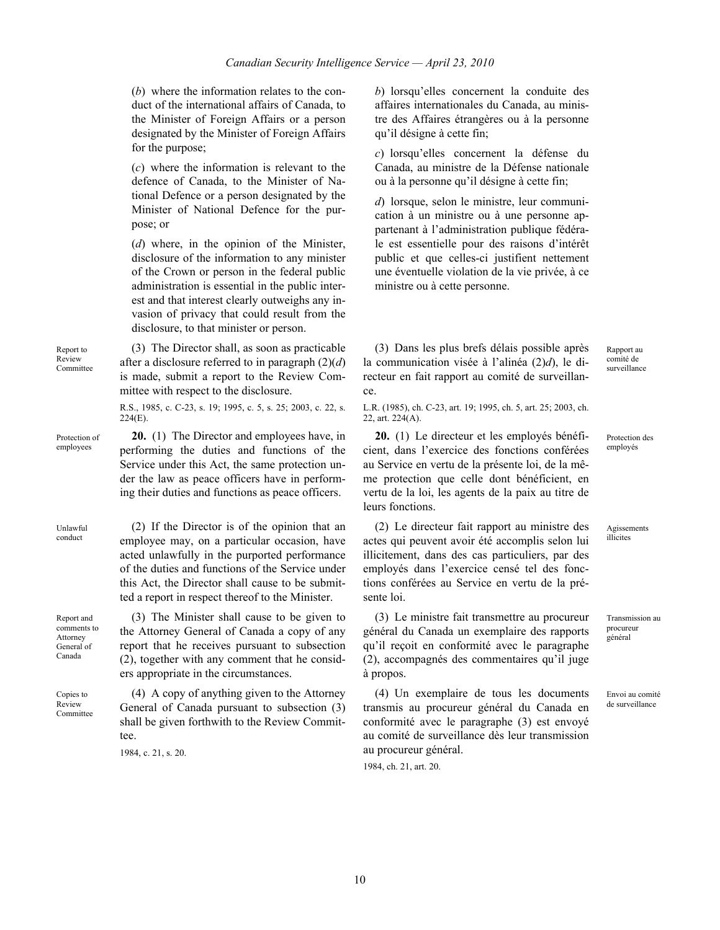ce.

(*b*) where the information relates to the conduct of the international affairs of Canada, to the Minister of Foreign Affairs or a person designated by the Minister of Foreign Affairs for the purpose;

(*c*) where the information is relevant to the defence of Canada, to the Minister of National Defence or a person designated by the Minister of National Defence for the purpose; or

(*d*) where, in the opinion of the Minister, disclosure of the information to any minister of the Crown or person in the federal public administration is essential in the public interest and that interest clearly outweighs any invasion of privacy that could result from the disclosure, to that minister or person.

Report to Review Committee

(3) The Director shall, as soon as practicable after a disclosure referred to in paragraph (2)(*d*) is made, submit a report to the Review Committee with respect to the disclosure.

R.S., 1985, c. C-23, s. 19; 1995, c. 5, s. 25; 2003, c. 22, s.  $224(E)$ .

Protection of employees **20.** (1) The Director and employees have, in performing the duties and functions of the Service under this Act, the same protection under the law as peace officers have in performing their duties and functions as peace officers.

> (2) If the Director is of the opinion that an employee may, on a particular occasion, have acted unlawfully in the purported performance of the duties and functions of the Service under this Act, the Director shall cause to be submitted a report in respect thereof to the Minister.

Report and comments to Attorney General of Canada

Copies to Review Committee

Unlawful conduct

> (3) The Minister shall cause to be given to the Attorney General of Canada a copy of any report that he receives pursuant to subsection (2), together with any comment that he considers appropriate in the circumstances.

(4) A copy of anything given to the Attorney General of Canada pursuant to subsection (3) shall be given forthwith to the Review Committee.

1984, c. 21, s. 20.

*b*) lorsqu'elles concernent la conduite des affaires internationales du Canada, au ministre des Affaires étrangères ou à la personne qu'il désigne à cette fin;

*c*) lorsqu'elles concernent la défense du Canada, au ministre de la Défense nationale ou à la personne qu'il désigne à cette fin;

*d*) lorsque, selon le ministre, leur communication à un ministre ou à une personne appartenant à l'administration publique fédérale est essentielle pour des raisons d'intérêt public et que celles-ci justifient nettement une éventuelle violation de la vie privée, à ce ministre ou à cette personne.

(3) Dans les plus brefs délais possible après la communication visée à l'alinéa (2)*d*), le directeur en fait rapport au comité de surveillan-Rapport au comité de surveillance

L.R. (1985), ch. C-23, art. 19; 1995, ch. 5, art. 25; 2003, ch. 22, art. 224(A).

**20.** (1) Le directeur et les employés bénéficient, dans l'exercice des fonctions conférées au Service en vertu de la présente loi, de la même protection que celle dont bénéficient, en vertu de la loi, les agents de la paix au titre de leurs fonctions.

(2) Le directeur fait rapport au ministre des actes qui peuvent avoir été accomplis selon lui illicitement, dans des cas particuliers, par des employés dans l'exercice censé tel des fonctions conférées au Service en vertu de la présente loi.

(3) Le ministre fait transmettre au procureur général du Canada un exemplaire des rapports qu'il reçoit en conformité avec le paragraphe (2), accompagnés des commentaires qu'il juge à propos.

(4) Un exemplaire de tous les documents transmis au procureur général du Canada en conformité avec le paragraphe (3) est envoyé au comité de surveillance dès leur transmission au procureur général.

1984, ch. 21, art. 20.

Protection des employés

Agissements illicites

Transmission au procureur général

Envoi au comité de surveillance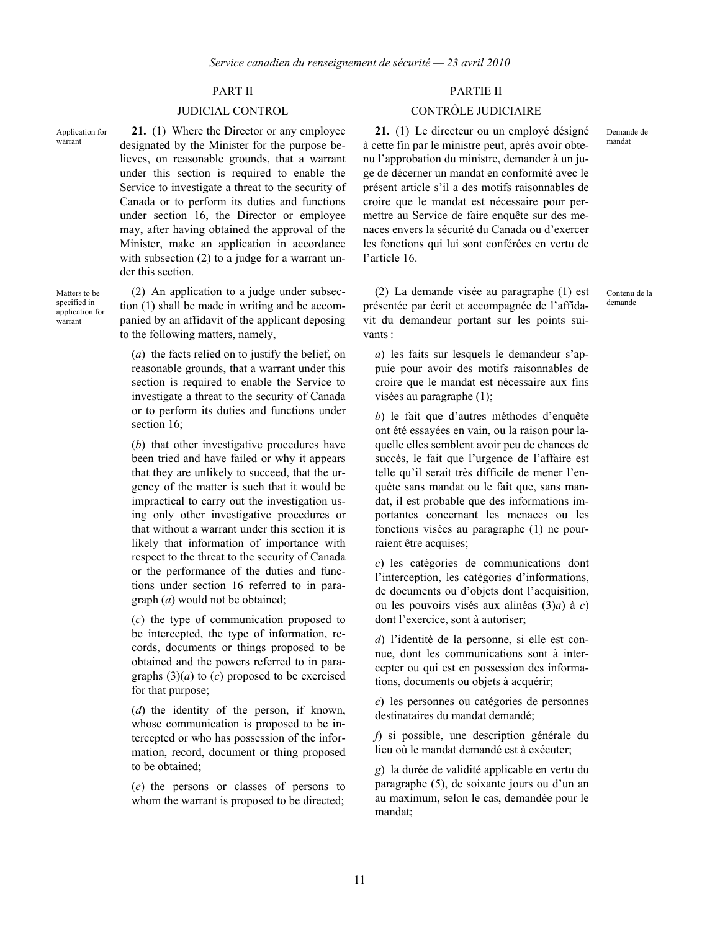Application for warrant

Matters to be specified in application for warrant

**21.** (1) Where the Director or any employee designated by the Minister for the purpose believes, on reasonable grounds, that a warrant under this section is required to enable the Service to investigate a threat to the security of Canada or to perform its duties and functions under section 16, the Director or employee may, after having obtained the approval of the Minister, make an application in accordance with subsection (2) to a judge for a warrant under this section.

(2) An application to a judge under subsection (1) shall be made in writing and be accompanied by an affidavit of the applicant deposing to the following matters, namely,

(*a*) the facts relied on to justify the belief, on reasonable grounds, that a warrant under this section is required to enable the Service to investigate a threat to the security of Canada or to perform its duties and functions under section 16:

(*b*) that other investigative procedures have been tried and have failed or why it appears that they are unlikely to succeed, that the urgency of the matter is such that it would be impractical to carry out the investigation using only other investigative procedures or that without a warrant under this section it is likely that information of importance with respect to the threat to the security of Canada or the performance of the duties and functions under section 16 referred to in paragraph (*a*) would not be obtained;

(*c*) the type of communication proposed to be intercepted, the type of information, records, documents or things proposed to be obtained and the powers referred to in paragraphs  $(3)(a)$  to  $(c)$  proposed to be exercised for that purpose;

(*d*) the identity of the person, if known, whose communication is proposed to be intercepted or who has possession of the information, record, document or thing proposed to be obtained;

(*e*) the persons or classes of persons to whom the warrant is proposed to be directed;

# PART II PARTIE II

# JUDICIAL CONTROL CONTRÔLE JUDICIAIRE

**21.** (1) Le directeur ou un employé désigné à cette fin par le ministre peut, après avoir obtenu l'approbation du ministre, demander à un juge de décerner un mandat en conformité avec le présent article s'il a des motifs raisonnables de croire que le mandat est nécessaire pour permettre au Service de faire enquête sur des menaces envers la sécurité du Canada ou d'exercer les fonctions qui lui sont conférées en vertu de l'article 16.

(2) La demande visée au paragraphe (1) est présentée par écrit et accompagnée de l'affidavit du demandeur portant sur les points suivants :

*a*) les faits sur lesquels le demandeur s'appuie pour avoir des motifs raisonnables de croire que le mandat est nécessaire aux fins visées au paragraphe (1);

*b*) le fait que d'autres méthodes d'enquête ont été essayées en vain, ou la raison pour laquelle elles semblent avoir peu de chances de succès, le fait que l'urgence de l'affaire est telle qu'il serait très difficile de mener l'enquête sans mandat ou le fait que, sans mandat, il est probable que des informations importantes concernant les menaces ou les fonctions visées au paragraphe (1) ne pourraient être acquises;

*c*) les catégories de communications dont l'interception, les catégories d'informations, de documents ou d'objets dont l'acquisition, ou les pouvoirs visés aux alinéas (3)*a*) à *c*) dont l'exercice, sont à autoriser;

*d*) l'identité de la personne, si elle est connue, dont les communications sont à intercepter ou qui est en possession des informations, documents ou objets à acquérir;

*e*) les personnes ou catégories de personnes destinataires du mandat demandé;

*f*) si possible, une description générale du lieu où le mandat demandé est à exécuter;

*g*) la durée de validité applicable en vertu du paragraphe (5), de soixante jours ou d'un an au maximum, selon le cas, demandée pour le mandat;

Demande de mandat

Contenu de la demande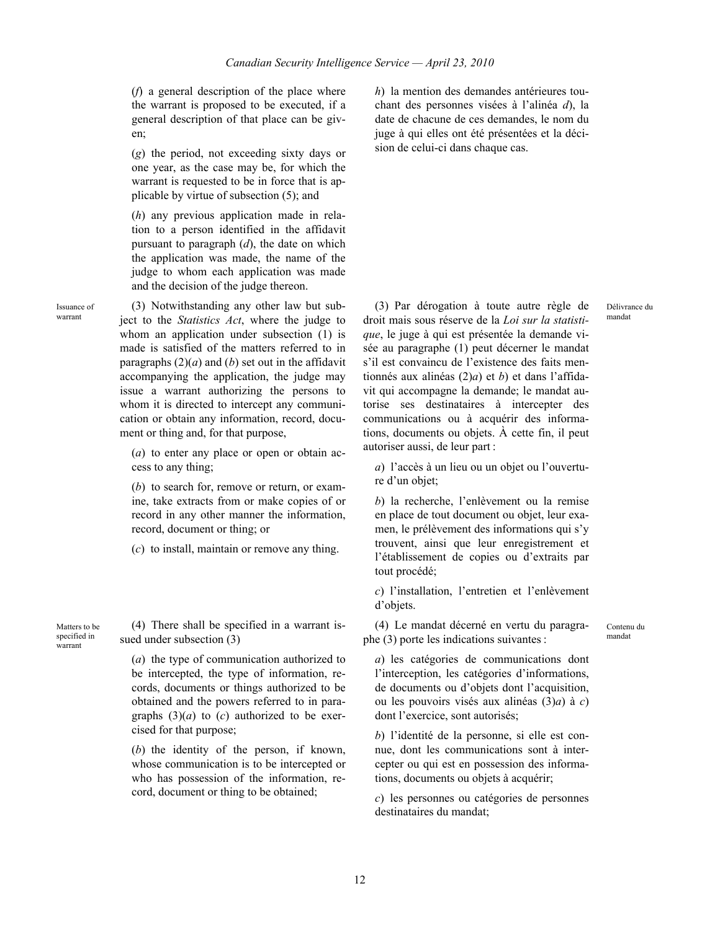(*f*) a general description of the place where the warrant is proposed to be executed, if a general description of that place can be given;

(*g*) the period, not exceeding sixty days or one year, as the case may be, for which the warrant is requested to be in force that is applicable by virtue of subsection (5); and

(*h*) any previous application made in relation to a person identified in the affidavit pursuant to paragraph (*d*), the date on which the application was made, the name of the judge to whom each application was made and the decision of the judge thereon.

Issuance of warrant

(3) Notwithstanding any other law but subject to the *Statistics Act*, where the judge to whom an application under subsection (1) is made is satisfied of the matters referred to in paragraphs  $(2)(a)$  and  $(b)$  set out in the affidavit accompanying the application, the judge may issue a warrant authorizing the persons to whom it is directed to intercept any communication or obtain any information, record, document or thing and, for that purpose,

(*a*) to enter any place or open or obtain access to any thing;

(*b*) to search for, remove or return, or examine, take extracts from or make copies of or record in any other manner the information, record, document or thing; or

(*c*) to install, maintain or remove any thing.

Matters to be specified in warrant

(4) There shall be specified in a warrant issued under subsection (3)

(*a*) the type of communication authorized to be intercepted, the type of information, records, documents or things authorized to be obtained and the powers referred to in paragraphs  $(3)(a)$  to  $(c)$  authorized to be exercised for that purpose;

(*b*) the identity of the person, if known, whose communication is to be intercepted or who has possession of the information, record, document or thing to be obtained;

*h*) la mention des demandes antérieures touchant des personnes visées à l'alinéa *d*), la date de chacune de ces demandes, le nom du juge à qui elles ont été présentées et la décision de celui-ci dans chaque cas.

(3) Par dérogation à toute autre règle de droit mais sous réserve de la *Loi sur la statistique*, le juge à qui est présentée la demande visée au paragraphe (1) peut décerner le mandat s'il est convaincu de l'existence des faits mentionnés aux alinéas (2)*a*) et *b*) et dans l'affidavit qui accompagne la demande; le mandat autorise ses destinataires à intercepter des communications ou à acquérir des informations, documents ou objets. À cette fin, il peut autoriser aussi, de leur part :

*a*) l'accès à un lieu ou un objet ou l'ouverture d'un objet;

*b*) la recherche, l'enlèvement ou la remise en place de tout document ou objet, leur examen, le prélèvement des informations qui s'y trouvent, ainsi que leur enregistrement et l'établissement de copies ou d'extraits par tout procédé;

*c*) l'installation, l'entretien et l'enlèvement d'objets.

(4) Le mandat décerné en vertu du paragraphe (3) porte les indications suivantes :

Contenu du mandat

Délivrance du mandat

*a*) les catégories de communications dont l'interception, les catégories d'informations, de documents ou d'objets dont l'acquisition, ou les pouvoirs visés aux alinéas (3)*a*) à *c*) dont l'exercice, sont autorisés;

*b*) l'identité de la personne, si elle est connue, dont les communications sont à intercepter ou qui est en possession des informations, documents ou objets à acquérir;

*c*) les personnes ou catégories de personnes destinataires du mandat;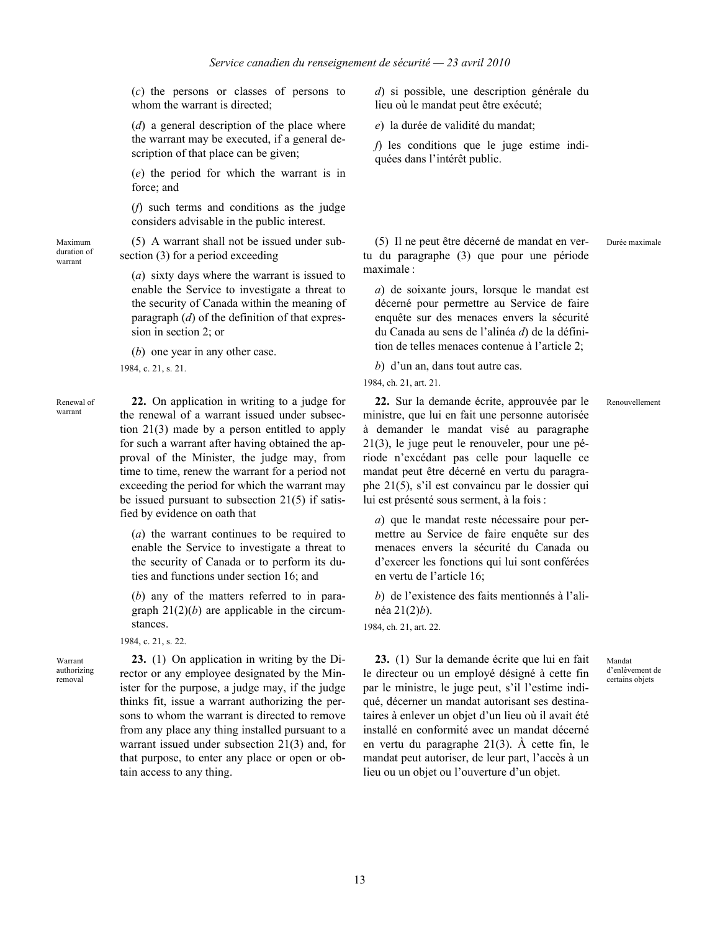(*c*) the persons or classes of persons to whom the warrant is directed:

(*d*) a general description of the place where the warrant may be executed, if a general description of that place can be given;

(*e*) the period for which the warrant is in force; and

(*f*) such terms and conditions as the judge considers advisable in the public interest.

(5) A warrant shall not be issued under subsection (3) for a period exceeding

(*a*) sixty days where the warrant is issued to enable the Service to investigate a threat to the security of Canada within the meaning of paragraph (*d*) of the definition of that expression in section 2; or

(*b*) one year in any other case.

1984, c. 21, s. 21.

Renewal of warrant

Maximum duration of warrant

> **22.** On application in writing to a judge for the renewal of a warrant issued under subsection 21(3) made by a person entitled to apply for such a warrant after having obtained the approval of the Minister, the judge may, from time to time, renew the warrant for a period not exceeding the period for which the warrant may be issued pursuant to subsection 21(5) if satisfied by evidence on oath that

(*a*) the warrant continues to be required to enable the Service to investigate a threat to the security of Canada or to perform its duties and functions under section 16; and

(*b*) any of the matters referred to in paragraph  $21(2)(b)$  are applicable in the circumstances.

1984, c. 21, s. 22.

Warrant authorizing removal

**23.** (1) On application in writing by the Director or any employee designated by the Minister for the purpose, a judge may, if the judge thinks fit, issue a warrant authorizing the persons to whom the warrant is directed to remove from any place any thing installed pursuant to a warrant issued under subsection 21(3) and, for that purpose, to enter any place or open or obtain access to any thing.

*d*) si possible, une description générale du lieu où le mandat peut être exécuté;

*e*) la durée de validité du mandat;

*f*) les conditions que le juge estime indiquées dans l'intérêt public.

(5) Il ne peut être décerné de mandat en vertu du paragraphe (3) que pour une période maximale :

*a*) de soixante jours, lorsque le mandat est décerné pour permettre au Service de faire enquête sur des menaces envers la sécurité du Canada au sens de l'alinéa *d*) de la définition de telles menaces contenue à l'article 2;

*b*) d'un an, dans tout autre cas.

1984, ch. 21, art. 21.

**22.** Sur la demande écrite, approuvée par le ministre, que lui en fait une personne autorisée à demander le mandat visé au paragraphe 21(3), le juge peut le renouveler, pour une période n'excédant pas celle pour laquelle ce mandat peut être décerné en vertu du paragraphe 21(5), s'il est convaincu par le dossier qui lui est présenté sous serment, à la fois : Renouvellement

*a*) que le mandat reste nécessaire pour permettre au Service de faire enquête sur des menaces envers la sécurité du Canada ou d'exercer les fonctions qui lui sont conférées en vertu de l'article 16;

*b*) de l'existence des faits mentionnés à l'alinéa 21(2)*b*).

1984, ch. 21, art. 22.

**23.** (1) Sur la demande écrite que lui en fait le directeur ou un employé désigné à cette fin par le ministre, le juge peut, s'il l'estime indiqué, décerner un mandat autorisant ses destinataires à enlever un objet d'un lieu où il avait été installé en conformité avec un mandat décerné en vertu du paragraphe 21(3). À cette fin, le mandat peut autoriser, de leur part, l'accès à un lieu ou un objet ou l'ouverture d'un objet.

Durée maximale

Mandat d'enlèvement de certains objets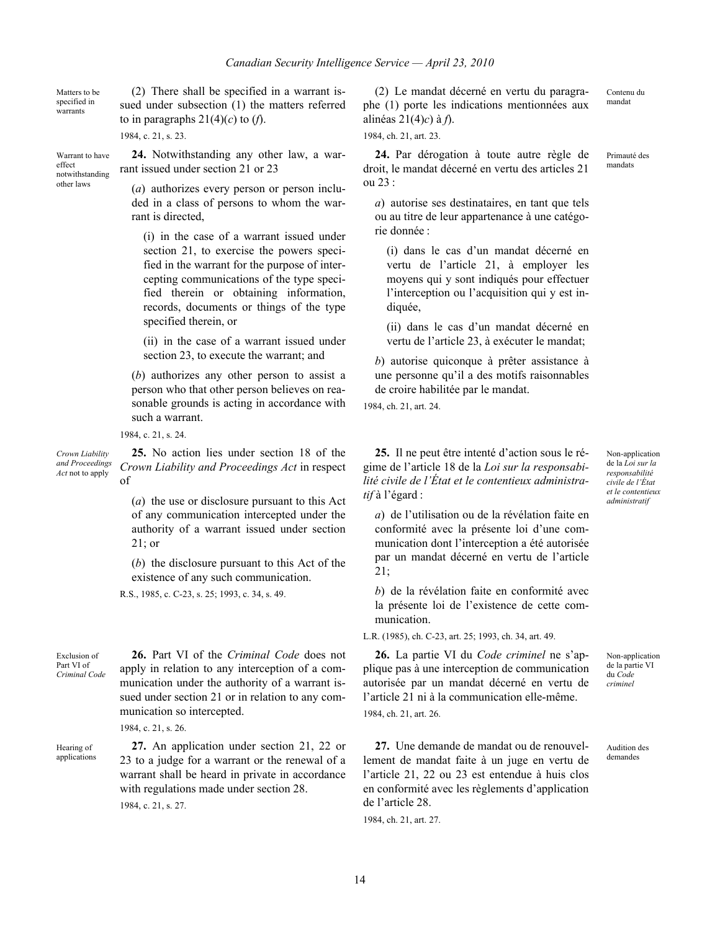Matters to be specified in warrants

effect

other laws

(2) There shall be specified in a warrant issued under subsection (1) the matters referred to in paragraphs  $21(4)(c)$  to  $(f)$ .

1984, c. 21, s. 23.

Warrant to have notwithstanding **24.** Notwithstanding any other law, a warrant issued under section 21 or 23

> (*a*) authorizes every person or person included in a class of persons to whom the warrant is directed,

(i) in the case of a warrant issued under section 21, to exercise the powers specified in the warrant for the purpose of intercepting communications of the type specified therein or obtaining information, records, documents or things of the type specified therein, or

(ii) in the case of a warrant issued under section 23, to execute the warrant; and

(*b*) authorizes any other person to assist a person who that other person believes on reasonable grounds is acting in accordance with such a warrant.

1984, c. 21, s. 24.

*Crown Liability and Proceedings Act* not to apply

**25.** No action lies under section 18 of the *Crown Liability and Proceedings Act* in respect of

> (*a*) the use or disclosure pursuant to this Act of any communication intercepted under the authority of a warrant issued under section 21; or

> (*b*) the disclosure pursuant to this Act of the existence of any such communication.

R.S., 1985, c. C-23, s. 25; 1993, c. 34, s. 49.

Exclusion of Part VI of *Criminal Code*

**26.** Part VI of the *Criminal Code* does not apply in relation to any interception of a communication under the authority of a warrant issued under section 21 or in relation to any communication so intercepted.

**27.** An application under section 21, 22 or 23 to a judge for a warrant or the renewal of a warrant shall be heard in private in accordance

with regulations made under section 28.

1984, c. 21, s. 26.

1984, c. 21, s. 27.

Hearing of applications

(2) Le mandat décerné en vertu du paragraphe (1) porte les indications mentionnées aux alinéas 21(4)*c*) à *f*).

1984, ch. 21, art. 23.

**24.** Par dérogation à toute autre règle de droit, le mandat décerné en vertu des articles 21 ou 23 :

*a*) autorise ses destinataires, en tant que tels ou au titre de leur appartenance à une catégorie donnée :

(i) dans le cas d'un mandat décerné en vertu de l'article 21, à employer les moyens qui y sont indiqués pour effectuer l'interception ou l'acquisition qui y est indiquée.

(ii) dans le cas d'un mandat décerné en vertu de l'article 23, à exécuter le mandat;

*b*) autorise quiconque à prêter assistance à une personne qu'il a des motifs raisonnables de croire habilitée par le mandat.

1984, ch. 21, art. 24.

**25.** Il ne peut être intenté d'action sous le régime de l'article 18 de la *Loi sur la responsabilité civile de l'État et le contentieux administratif* à l'égard :

Non-application de la *Loi sur la responsabilité civile de l'État et le contentieux administratif*

*a*) de l'utilisation ou de la révélation faite en conformité avec la présente loi d'une communication dont l'interception a été autorisée par un mandat décerné en vertu de l'article 21;

*b*) de la révélation faite en conformité avec la présente loi de l'existence de cette communication.

L.R. (1985), ch. C-23, art. 25; 1993, ch. 34, art. 49.

**26.** La partie VI du *Code criminel* ne s'applique pas à une interception de communication autorisée par un mandat décerné en vertu de l'article 21 ni à la communication elle-même. 1984, ch. 21, art. 26.

**27.** Une demande de mandat ou de renouvellement de mandat faite à un juge en vertu de l'article 21, 22 ou 23 est entendue à huis clos en conformité avec les règlements d'application de l'article 28.

1984, ch. 21, art. 27.

*criminel*

Non-application de la partie VI du *Code*

Audition des demandes

Contenu du mandat

Primauté des mandats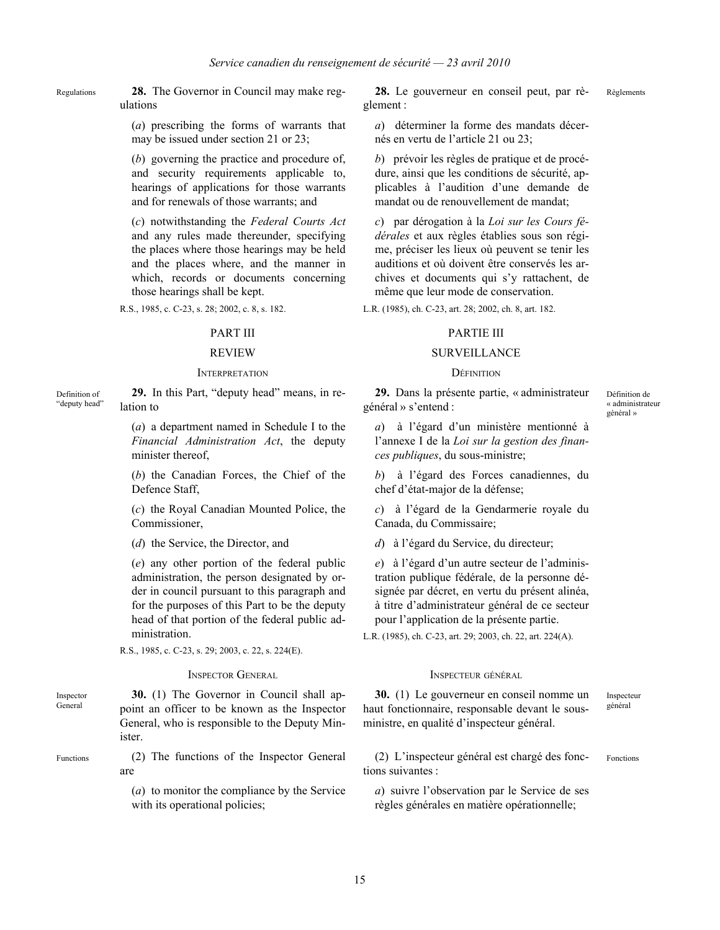Regulations **28.** The Governor in Council may make regulations

> (*a*) prescribing the forms of warrants that may be issued under section 21 or 23;

(*b*) governing the practice and procedure of, and security requirements applicable to, hearings of applications for those warrants and for renewals of those warrants; and

(*c*) notwithstanding the *Federal Courts Act* and any rules made thereunder, specifying the places where those hearings may be held and the places where, and the manner in which, records or documents concerning those hearings shall be kept.

R.S., 1985, c. C-23, s. 28; 2002, c. 8, s. 182.

### INTERPRETATION DÉFINITION

Definition of "deputy head" **29.** In this Part, "deputy head" means, in relation to

> (*a*) a department named in Schedule I to the *Financial Administration Act*, the deputy minister thereof,

> (*b*) the Canadian Forces, the Chief of the Defence Staff,

> (*c*) the Royal Canadian Mounted Police, the Commissioner,

(*d*) the Service, the Director, and

(*e*) any other portion of the federal public administration, the person designated by order in council pursuant to this paragraph and for the purposes of this Part to be the deputy head of that portion of the federal public administration.

R.S., 1985, c. C-23, s. 29; 2003, c. 22, s. 224(E).

### **INSPECTOR GENERAL INSPECTEUR GÉNÉRAL**

Inspector General **30.** (1) The Governor in Council shall appoint an officer to be known as the Inspector General, who is responsible to the Deputy Minister.

Functions (2) The functions of the Inspector General are

> (*a*) to monitor the compliance by the Service with its operational policies;

**28.** Le gouverneur en conseil peut, par règlement : Règlements

*a*) déterminer la forme des mandats décernés en vertu de l'article 21 ou 23;

*b*) prévoir les règles de pratique et de procédure, ainsi que les conditions de sécurité, applicables à l'audition d'une demande de mandat ou de renouvellement de mandat;

*c*) par dérogation à la *Loi sur les Cours fédérales* et aux règles établies sous son régime, préciser les lieux où peuvent se tenir les auditions et où doivent être conservés les archives et documents qui s'y rattachent, de même que leur mode de conservation.

L.R. (1985), ch. C-23, art. 28; 2002, ch. 8, art. 182.

### PART III PARTIE III

### REVIEW SURVEILLANCE

**29.** Dans la présente partie, « administrateur général » s'entend :

Définition de « administrateur général »

*a*) à l'égard d'un ministère mentionné à l'annexe I de la *Loi sur la gestion des finances publiques*, du sous-ministre;

*b*) à l'égard des Forces canadiennes, du chef d'état-major de la défense;

*c*) à l'égard de la Gendarmerie royale du Canada, du Commissaire;

*d*) à l'égard du Service, du directeur;

*e*) à l'égard d'un autre secteur de l'administration publique fédérale, de la personne désignée par décret, en vertu du présent alinéa, à titre d'administrateur général de ce secteur pour l'application de la présente partie.

L.R. (1985), ch. C-23, art. 29; 2003, ch. 22, art. 224(A).

**30.** (1) Le gouverneur en conseil nomme un haut fonctionnaire, responsable devant le sousministre, en qualité d'inspecteur général.

Inspecteur général

(2) L'inspecteur général est chargé des fonctions suivantes : Fonctions

*a*) suivre l'observation par le Service de ses règles générales en matière opérationnelle;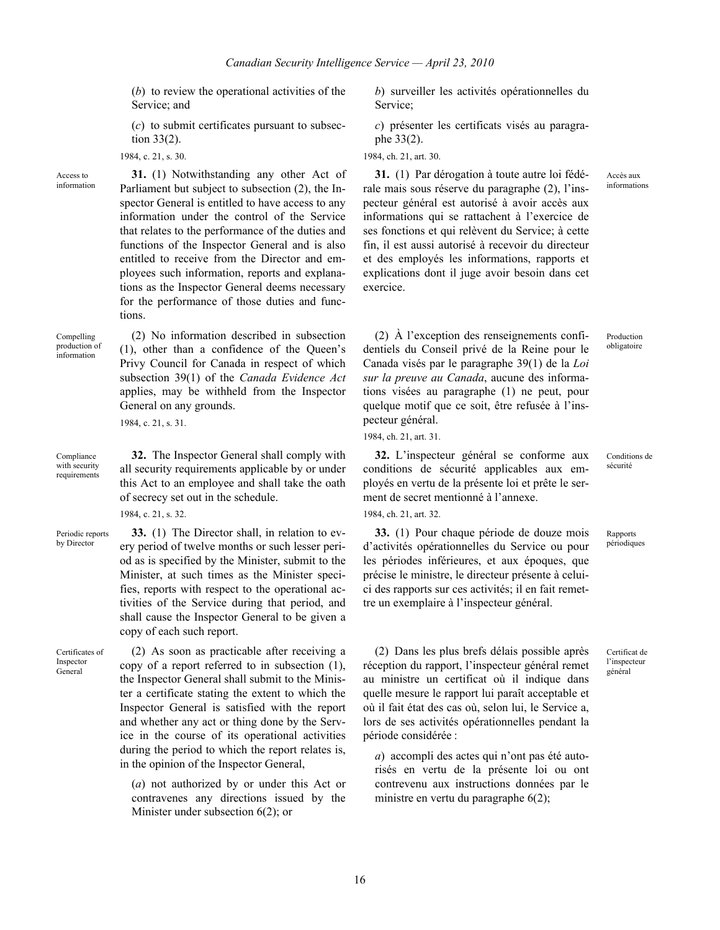(*b*) to review the operational activities of the Service; and

(*c*) to submit certificates pursuant to subsection 33(2).

1984, c. 21, s. 30.

Access to information

**31.** (1) Notwithstanding any other Act of Parliament but subject to subsection (2), the Inspector General is entitled to have access to any information under the control of the Service that relates to the performance of the duties and functions of the Inspector General and is also entitled to receive from the Director and employees such information, reports and explanations as the Inspector General deems necessary for the performance of those duties and functions.

(2) No information described in subsection (1), other than a confidence of the Queen's Privy Council for Canada in respect of which subsection 39(1) of the *Canada Evidence Act* applies, may be withheld from the Inspector

Compelling production of information

Compliance with security requirements

**32.** The Inspector General shall comply with all security requirements applicable by or under this Act to an employee and shall take the oath of secrecy set out in the schedule.

**33.** (1) The Director shall, in relation to every period of twelve months or such lesser period as is specified by the Minister, submit to the Minister, at such times as the Minister specifies, reports with respect to the operational activities of the Service during that period, and shall cause the Inspector General to be given a

1984, c. 21, s. 32.

1984, c. 21, s. 31.

General on any grounds.

copy of each such report.

Periodic reports by Director

Certificates of Inspector General

(2) As soon as practicable after receiving a copy of a report referred to in subsection (1), the Inspector General shall submit to the Minister a certificate stating the extent to which the Inspector General is satisfied with the report and whether any act or thing done by the Service in the course of its operational activities during the period to which the report relates is, in the opinion of the Inspector General,

(*a*) not authorized by or under this Act or contravenes any directions issued by the Minister under subsection 6(2); or

*b*) surveiller les activités opérationnelles du Service;

*c*) présenter les certificats visés au paragraphe 33(2).

1984, ch. 21, art. 30.

**31.** (1) Par dérogation à toute autre loi fédérale mais sous réserve du paragraphe (2), l'inspecteur général est autorisé à avoir accès aux informations qui se rattachent à l'exercice de ses fonctions et qui relèvent du Service; à cette fin, il est aussi autorisé à recevoir du directeur et des employés les informations, rapports et explications dont il juge avoir besoin dans cet exercice.

(2) À l'exception des renseignements confidentiels du Conseil privé de la Reine pour le Canada visés par le paragraphe 39(1) de la *Loi sur la preuve au Canada*, aucune des informations visées au paragraphe (1) ne peut, pour quelque motif que ce soit, être refusée à l'inspecteur général.

1984, ch. 21, art. 31.

**32.** L'inspecteur général se conforme aux conditions de sécurité applicables aux employés en vertu de la présente loi et prête le serment de secret mentionné à l'annexe.

1984, ch. 21, art. 32.

**33.** (1) Pour chaque période de douze mois d'activités opérationnelles du Service ou pour les périodes inférieures, et aux époques, que précise le ministre, le directeur présente à celuici des rapports sur ces activités; il en fait remettre un exemplaire à l'inspecteur général.

(2) Dans les plus brefs délais possible après réception du rapport, l'inspecteur général remet au ministre un certificat où il indique dans quelle mesure le rapport lui paraît acceptable et où il fait état des cas où, selon lui, le Service a, lors de ses activités opérationnelles pendant la période considérée :

*a*) accompli des actes qui n'ont pas été autorisés en vertu de la présente loi ou ont contrevenu aux instructions données par le ministre en vertu du paragraphe 6(2);

Accès aux informations

obligatoire

Production

Conditions de sécurité

Rapports périodiques

Certificat de l'inspecteur général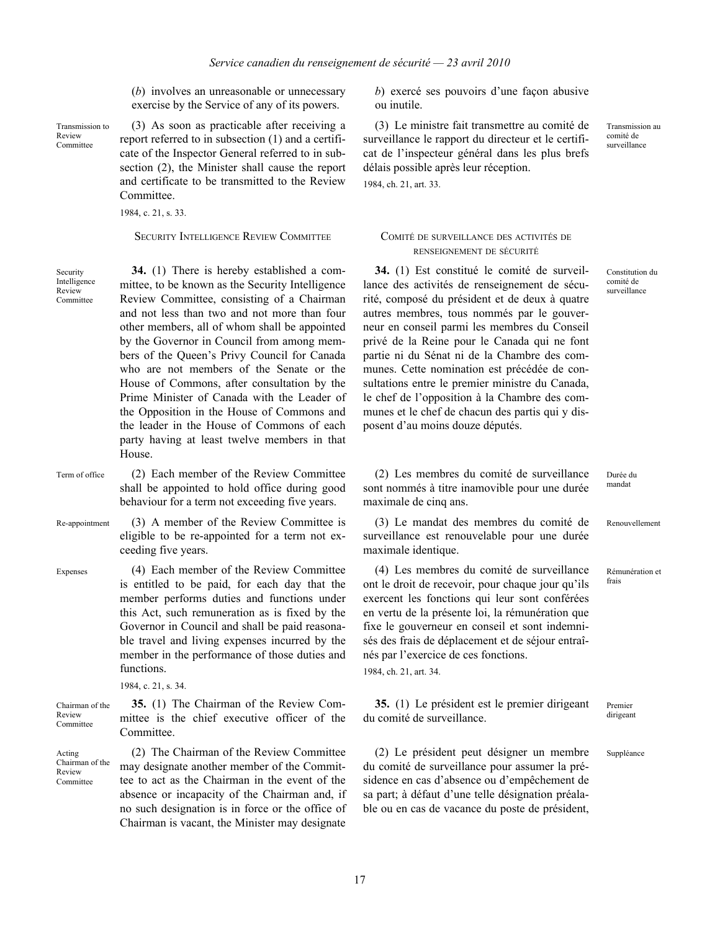(*b*) involves an unreasonable or unnecessary exercise by the Service of any of its powers.

Transmission to Review Committee

(3) As soon as practicable after receiving a report referred to in subsection (1) and a certificate of the Inspector General referred to in subsection (2), the Minister shall cause the report and certificate to be transmitted to the Review Committee.

1984, c. 21, s. 33.

SECURITY INTELLIGENCE REVIEW COMMITTEE COMITÉ DE SURVEILLANCE DES ACTIVITÉS DE

Security Intelligence Review Committee

**34.** (1) There is hereby established a committee, to be known as the Security Intelligence Review Committee, consisting of a Chairman and not less than two and not more than four other members, all of whom shall be appointed by the Governor in Council from among members of the Queen's Privy Council for Canada who are not members of the Senate or the House of Commons, after consultation by the Prime Minister of Canada with the Leader of the Opposition in the House of Commons and the leader in the House of Commons of each party having at least twelve members in that House.

Term of office (2) Each member of the Review Committee shall be appointed to hold office during good behaviour for a term not exceeding five years.

Re-appointment (3) A member of the Review Committee is eligible to be re-appointed for a term not exceeding five years.

Expenses (4) Each member of the Review Committee is entitled to be paid, for each day that the member performs duties and functions under this Act, such remuneration as is fixed by the Governor in Council and shall be paid reasonable travel and living expenses incurred by the member in the performance of those duties and functions.

1984, c. 21, s. 34.

Chairman of the Review **Committee** 

**35.** (1) The Chairman of the Review Committee is the chief executive officer of the Committee.

Acting Chairman of the Review Committee

(2) The Chairman of the Review Committee may designate another member of the Committee to act as the Chairman in the event of the absence or incapacity of the Chairman and, if no such designation is in force or the office of Chairman is vacant, the Minister may designate

*b*) exercé ses pouvoirs d'une façon abusive ou inutile.

(3) Le ministre fait transmettre au comité de surveillance le rapport du directeur et le certificat de l'inspecteur général dans les plus brefs délais possible après leur réception.

1984, ch. 21, art. 33.

# RENSEIGNEMENT DE SÉCURITÉ

**34.** (1) Est constitué le comité de surveillance des activités de renseignement de sécurité, composé du président et de deux à quatre autres membres, tous nommés par le gouverneur en conseil parmi les membres du Conseil privé de la Reine pour le Canada qui ne font partie ni du Sénat ni de la Chambre des communes. Cette nomination est précédée de consultations entre le premier ministre du Canada, le chef de l'opposition à la Chambre des communes et le chef de chacun des partis qui y disposent d'au moins douze députés.

Transmission au comité de surveillance

Constitution du comité de surveillance

Durée du mandat

Renouvellement

Rémunération et frais

Premier dirigeant

Suppléance

(2) Les membres du comité de surveillance sont nommés à titre inamovible pour une durée maximale de cinq ans.

(3) Le mandat des membres du comité de surveillance est renouvelable pour une durée maximale identique.

(4) Les membres du comité de surveillance ont le droit de recevoir, pour chaque jour qu'ils exercent les fonctions qui leur sont conférées en vertu de la présente loi, la rémunération que fixe le gouverneur en conseil et sont indemnisés des frais de déplacement et de séjour entraînés par l'exercice de ces fonctions. 1984, ch. 21, art. 34.

**35.** (1) Le président est le premier dirigeant du comité de surveillance.

(2) Le président peut désigner un membre du comité de surveillance pour assumer la présidence en cas d'absence ou d'empêchement de sa part; à défaut d'une telle désignation préalable ou en cas de vacance du poste de président,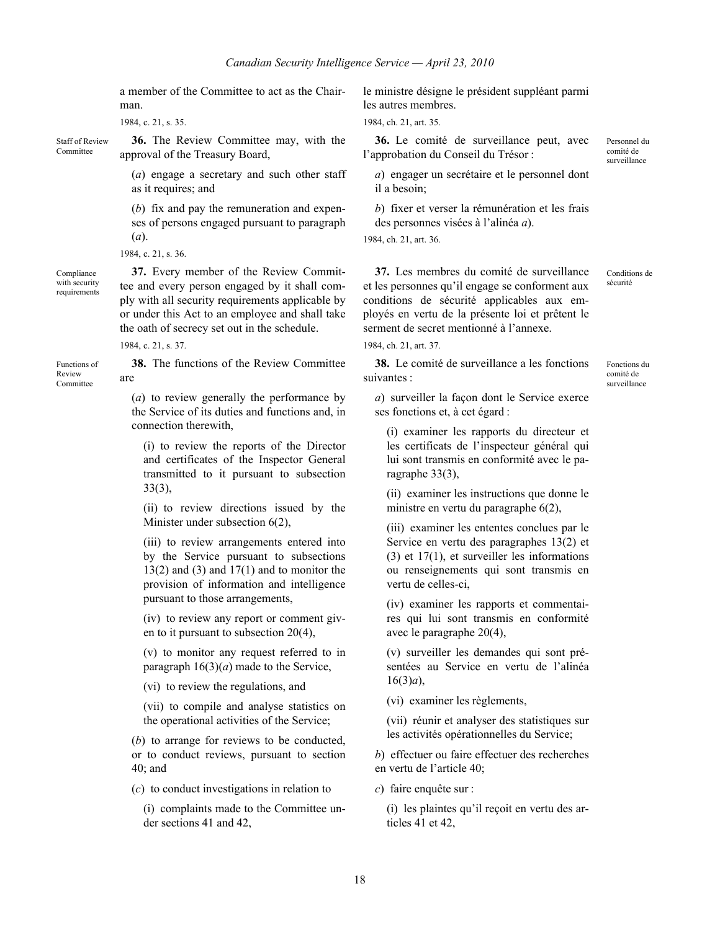a member of the Committee to act as the Chairman.

1984, c. 21, s. 35.

Staff of Review Committee

**36.** The Review Committee may, with the approval of the Treasury Board,

(*a*) engage a secretary and such other staff as it requires; and

(*b*) fix and pay the remuneration and expenses of persons engaged pursuant to paragraph (*a*).

1984, c. 21, s. 36.

Compliance with security requirements

Functions of Review Committee

**37.** Every member of the Review Committee and every person engaged by it shall comply with all security requirements applicable by or under this Act to an employee and shall take the oath of secrecy set out in the schedule.

1984, c. 21, s. 37.

**38.** The functions of the Review Committee are

(*a*) to review generally the performance by the Service of its duties and functions and, in connection therewith,

(i) to review the reports of the Director and certificates of the Inspector General transmitted to it pursuant to subsection 33(3),

(ii) to review directions issued by the Minister under subsection 6(2),

(iii) to review arrangements entered into by the Service pursuant to subsections  $13(2)$  and  $(3)$  and  $17(1)$  and to monitor the provision of information and intelligence pursuant to those arrangements,

(iv) to review any report or comment given to it pursuant to subsection 20(4),

(v) to monitor any request referred to in paragraph  $16(3)(a)$  made to the Service,

(vi) to review the regulations, and

(vii) to compile and analyse statistics on the operational activities of the Service;

(*b*) to arrange for reviews to be conducted, or to conduct reviews, pursuant to section 40; and

(*c*) to conduct investigations in relation to

(i) complaints made to the Committee under sections 41 and 42,

le ministre désigne le président suppléant parmi les autres membres.

1984, ch. 21, art. 35.

**36.** Le comité de surveillance peut, avec l'approbation du Conseil du Trésor :

*a*) engager un secrétaire et le personnel dont il a besoin;

*b*) fixer et verser la rémunération et les frais des personnes visées à l'alinéa *a*).

1984, ch. 21, art. 36.

**37.** Les membres du comité de surveillance et les personnes qu'il engage se conforment aux conditions de sécurité applicables aux employés en vertu de la présente loi et prêtent le serment de secret mentionné à l'annexe.

1984, ch. 21, art. 37.

**38.** Le comité de surveillance a les fonctions suivantes :

Conditions de sécurité

Personnel du comité de surveillance

Fonctions du comité de surveillance

*a*) surveiller la façon dont le Service exerce ses fonctions et, à cet égard :

(i) examiner les rapports du directeur et les certificats de l'inspecteur général qui lui sont transmis en conformité avec le paragraphe 33(3),

(ii) examiner les instructions que donne le ministre en vertu du paragraphe 6(2),

(iii) examiner les ententes conclues par le Service en vertu des paragraphes 13(2) et (3) et 17(1), et surveiller les informations ou renseignements qui sont transmis en vertu de celles-ci,

(iv) examiner les rapports et commentaires qui lui sont transmis en conformité avec le paragraphe 20(4),

(v) surveiller les demandes qui sont présentées au Service en vertu de l'alinéa 16(3)*a*),

(vi) examiner les règlements,

(vii) réunir et analyser des statistiques sur les activités opérationnelles du Service;

*b*) effectuer ou faire effectuer des recherches en vertu de l'article 40;

*c*) faire enquête sur :

(i) les plaintes qu'il reçoit en vertu des articles 41 et 42,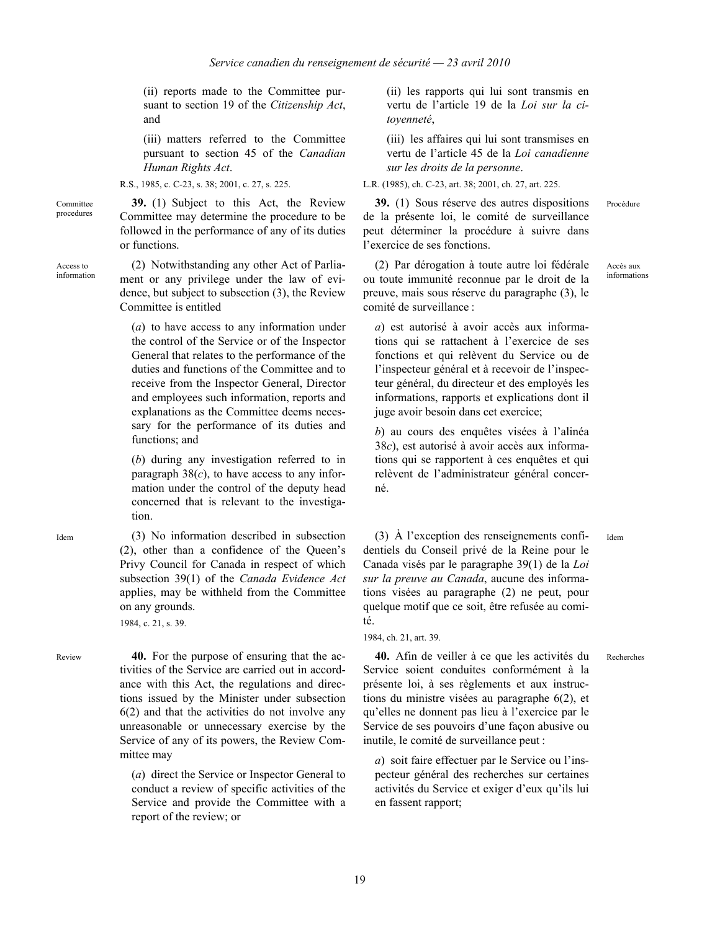(ii) reports made to the Committee pursuant to section 19 of the *Citizenship Act*, and

(iii) matters referred to the Committee pursuant to section 45 of the *Canadian Human Rights Act*.

R.S., 1985, c. C-23, s. 38; 2001, c. 27, s. 225.

**39.** (1) Subject to this Act, the Review Committee may determine the procedure to be followed in the performance of any of its duties or functions.

Access to information

Committee procedures

> (2) Notwithstanding any other Act of Parliament or any privilege under the law of evidence, but subject to subsection (3), the Review Committee is entitled

(*a*) to have access to any information under the control of the Service or of the Inspector General that relates to the performance of the duties and functions of the Committee and to receive from the Inspector General, Director and employees such information, reports and explanations as the Committee deems necessary for the performance of its duties and functions; and

(*b*) during any investigation referred to in paragraph  $38(c)$ , to have access to any information under the control of the deputy head concerned that is relevant to the investigation.

Idem (3) No information described in subsection (2), other than a confidence of the Queen's Privy Council for Canada in respect of which subsection 39(1) of the *Canada Evidence Act* applies, may be withheld from the Committee on any grounds.

1984, c. 21, s. 39.

Review **40.** For the purpose of ensuring that the activities of the Service are carried out in accordance with this Act, the regulations and directions issued by the Minister under subsection 6(2) and that the activities do not involve any unreasonable or unnecessary exercise by the Service of any of its powers, the Review Committee may

> (*a*) direct the Service or Inspector General to conduct a review of specific activities of the Service and provide the Committee with a report of the review; or

(ii) les rapports qui lui sont transmis en vertu de l'article 19 de la *Loi sur la citoyenneté*,

(iii) les affaires qui lui sont transmises en vertu de l'article 45 de la *Loi canadienne sur les droits de la personne*.

L.R. (1985), ch. C-23, art. 38; 2001, ch. 27, art. 225.

**39.** (1) Sous réserve des autres dispositions de la présente loi, le comité de surveillance peut déterminer la procédure à suivre dans l'exercice de ses fonctions.

(2) Par dérogation à toute autre loi fédérale ou toute immunité reconnue par le droit de la preuve, mais sous réserve du paragraphe (3), le comité de surveillance :

Accès aux informations

Procédure

*a*) est autorisé à avoir accès aux informations qui se rattachent à l'exercice de ses fonctions et qui relèvent du Service ou de l'inspecteur général et à recevoir de l'inspecteur général, du directeur et des employés les informations, rapports et explications dont il juge avoir besoin dans cet exercice;

*b*) au cours des enquêtes visées à l'alinéa 38*c*), est autorisé à avoir accès aux informations qui se rapportent à ces enquêtes et qui relèvent de l'administrateur général concerné.

(3) À l'exception des renseignements confidentiels du Conseil privé de la Reine pour le Canada visés par le paragraphe 39(1) de la *Loi sur la preuve au Canada*, aucune des informations visées au paragraphe (2) ne peut, pour quelque motif que ce soit, être refusée au comité.

Recherches

Idem

**40.** Afin de veiller à ce que les activités du Service soient conduites conformément à la présente loi, à ses règlements et aux instructions du ministre visées au paragraphe 6(2), et qu'elles ne donnent pas lieu à l'exercice par le Service de ses pouvoirs d'une façon abusive ou inutile, le comité de surveillance peut :

*a*) soit faire effectuer par le Service ou l'inspecteur général des recherches sur certaines activités du Service et exiger d'eux qu'ils lui en fassent rapport;

<sup>1984,</sup> ch. 21, art. 39.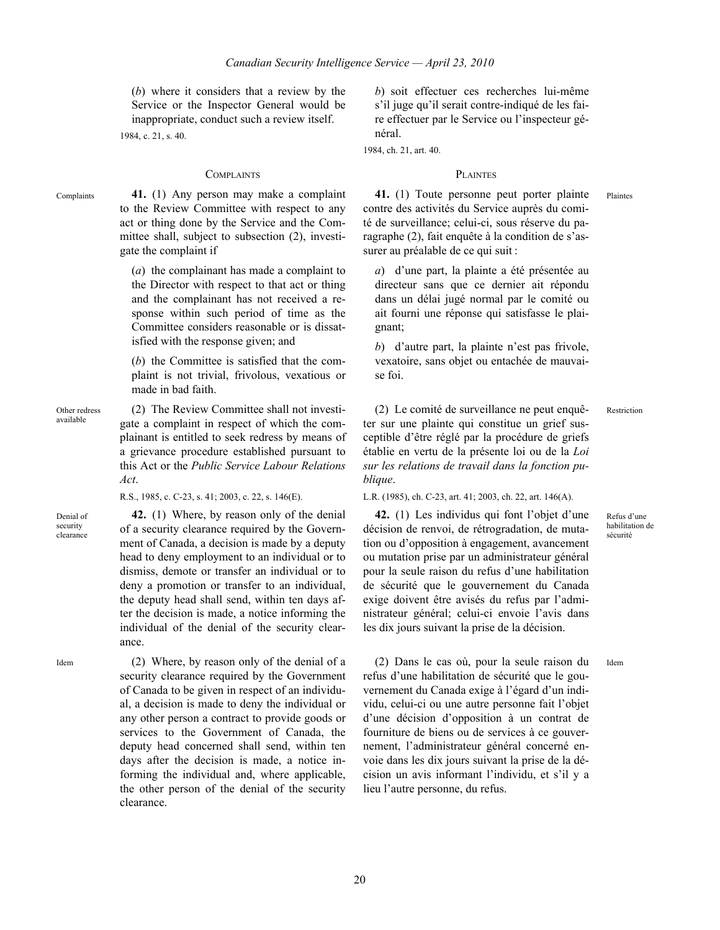(*b*) where it considers that a review by the Service or the Inspector General would be inappropriate, conduct such a review itself. 1984, c. 21, s. 40.

### COMPLAINTS PLAINTES

Complaints **41.** (1) Any person may make a complaint to the Review Committee with respect to any act or thing done by the Service and the Committee shall, subject to subsection (2), investigate the complaint if

> (*a*) the complainant has made a complaint to the Director with respect to that act or thing and the complainant has not received a response within such period of time as the Committee considers reasonable or is dissatisfied with the response given; and

> (*b*) the Committee is satisfied that the complaint is not trivial, frivolous, vexatious or made in bad faith.

Other redress available (2) The Review Committee shall not investigate a complaint in respect of which the complainant is entitled to seek redress by means of a grievance procedure established pursuant to this Act or the *Public Service Labour Relations Act*.

R.S., 1985, c. C-23, s. 41; 2003, c. 22, s. 146(E).

Denial of security clearance

**42.** (1) Where, by reason only of the denial of a security clearance required by the Government of Canada, a decision is made by a deputy head to deny employment to an individual or to dismiss, demote or transfer an individual or to deny a promotion or transfer to an individual, the deputy head shall send, within ten days after the decision is made, a notice informing the individual of the denial of the security clearance.

security clearance required by the Government of Canada to be given in respect of an individual, a decision is made to deny the individual or any other person a contract to provide goods or services to the Government of Canada, the deputy head concerned shall send, within ten days after the decision is made, a notice informing the individual and, where applicable, the other person of the denial of the security

Idem (2) Where, by reason only of the denial of a

clearance.

*b*) soit effectuer ces recherches lui-même s'il juge qu'il serait contre-indiqué de les faire effectuer par le Service ou l'inspecteur général.

1984, ch. 21, art. 40.

Plaintes

Restriction

Refus d'une habilitation de sécurité

Idem

**41.** (1) Toute personne peut porter plainte contre des activités du Service auprès du comité de surveillance; celui-ci, sous réserve du paragraphe (2), fait enquête à la condition de s'assurer au préalable de ce qui suit :

*a*) d'une part, la plainte a été présentée au directeur sans que ce dernier ait répondu dans un délai jugé normal par le comité ou ait fourni une réponse qui satisfasse le plaignant;

*b*) d'autre part, la plainte n'est pas frivole, vexatoire, sans objet ou entachée de mauvaise foi.

(2) Le comité de surveillance ne peut enquêter sur une plainte qui constitue un grief susceptible d'être réglé par la procédure de griefs établie en vertu de la présente loi ou de la *Loi sur les relations de travail dans la fonction publique*.

L.R. (1985), ch. C-23, art. 41; 2003, ch. 22, art. 146(A).

**42.** (1) Les individus qui font l'objet d'une décision de renvoi, de rétrogradation, de mutation ou d'opposition à engagement, avancement ou mutation prise par un administrateur général pour la seule raison du refus d'une habilitation de sécurité que le gouvernement du Canada exige doivent être avisés du refus par l'administrateur général; celui-ci envoie l'avis dans les dix jours suivant la prise de la décision.

(2) Dans le cas où, pour la seule raison du refus d'une habilitation de sécurité que le gouvernement du Canada exige à l'égard d'un individu, celui-ci ou une autre personne fait l'objet d'une décision d'opposition à un contrat de fourniture de biens ou de services à ce gouvernement, l'administrateur général concerné envoie dans les dix jours suivant la prise de la décision un avis informant l'individu, et s'il y a lieu l'autre personne, du refus.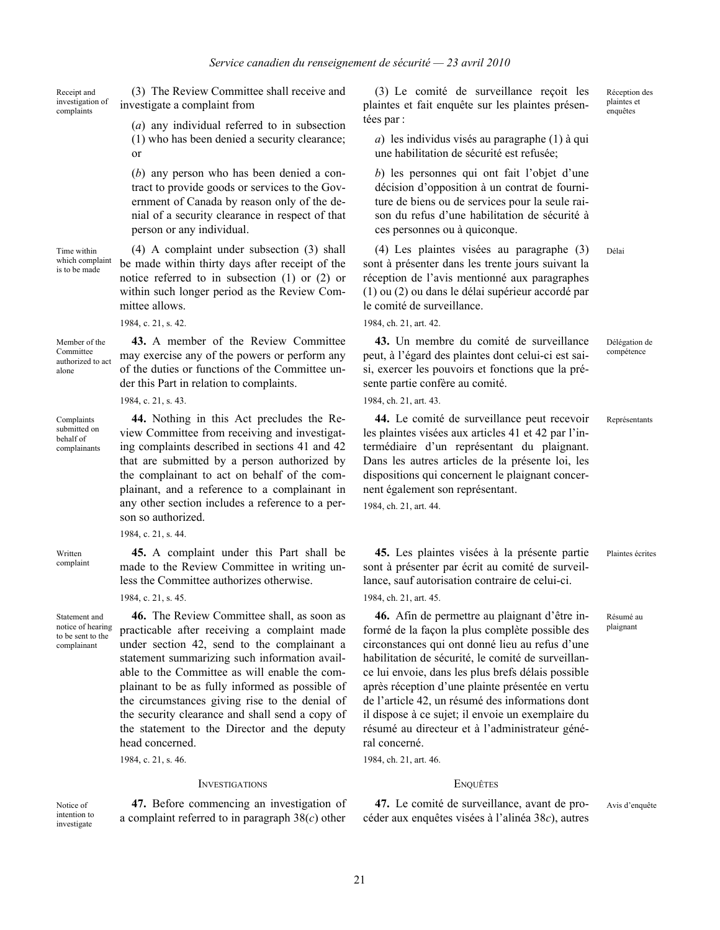Receipt and investigation of complaints

Time within which complaint is to be made

(3) The Review Committee shall receive and investigate a complaint from

> (*a*) any individual referred to in subsection (1) who has been denied a security clearance; or

> (*b*) any person who has been denied a contract to provide goods or services to the Government of Canada by reason only of the denial of a security clearance in respect of that person or any individual.

(4) A complaint under subsection (3) shall be made within thirty days after receipt of the notice referred to in subsection (1) or (2) or within such longer period as the Review Committee allows.

1984, c. 21, s. 42.

Member of the authorized to act **43.** A member of the Review Committee may exercise any of the powers or perform any of the duties or functions of the Committee under this Part in relation to complaints.

> **44.** Nothing in this Act precludes the Review Committee from receiving and investigating complaints described in sections 41 and 42 that are submitted by a person authorized by the complainant to act on behalf of the complainant, and a reference to a complainant in any other section includes a reference to a per-

> **45.** A complaint under this Part shall be made to the Review Committee in writing unless the Committee authorizes otherwise.

1984, c. 21, s. 43.

son so authorized. 1984, c. 21, s. 44.

1984, c. 21, s. 45.

Complaints submitted on behalf of complainants

Committee

alone

Written complaint

Statement and notice of hearing to be sent to the complainant

**46.** The Review Committee shall, as soon as practicable after receiving a complaint made under section 42, send to the complainant a statement summarizing such information available to the Committee as will enable the complainant to be as fully informed as possible of the circumstances giving rise to the denial of the security clearance and shall send a copy of the statement to the Director and the deputy head concerned.

1984, c. 21, s. 46.

### INVESTIGATIONS ENQUÊTES

**47.** Before commencing an investigation of a complaint referred to in paragraph 38(*c*) other

(3) Le comité de surveillance reçoit les plaintes et fait enquête sur les plaintes présentées par :

*a*) les individus visés au paragraphe (1) à qui une habilitation de sécurité est refusée;

*b*) les personnes qui ont fait l'objet d'une décision d'opposition à un contrat de fourniture de biens ou de services pour la seule raison du refus d'une habilitation de sécurité à ces personnes ou à quiconque.

(4) Les plaintes visées au paragraphe (3) sont à présenter dans les trente jours suivant la réception de l'avis mentionné aux paragraphes (1) ou (2) ou dans le délai supérieur accordé par le comité de surveillance. Délai

1984, ch. 21, art. 42.

**43.** Un membre du comité de surveillance peut, à l'égard des plaintes dont celui-ci est saisi, exercer les pouvoirs et fonctions que la présente partie confère au comité.

1984, ch. 21, art. 43.

**44.** Le comité de surveillance peut recevoir les plaintes visées aux articles 41 et 42 par l'intermédiaire d'un représentant du plaignant. Dans les autres articles de la présente loi, les dispositions qui concernent le plaignant concernent également son représentant.

1984, ch. 21, art. 44.

**45.** Les plaintes visées à la présente partie sont à présenter par écrit au comité de surveillance, sauf autorisation contraire de celui-ci. 1984, ch. 21, art. 45.

**46.** Afin de permettre au plaignant d'être informé de la façon la plus complète possible des circonstances qui ont donné lieu au refus d'une habilitation de sécurité, le comité de surveillance lui envoie, dans les plus brefs délais possible après réception d'une plainte présentée en vertu de l'article 42, un résumé des informations dont il dispose à ce sujet; il envoie un exemplaire du résumé au directeur et à l'administrateur général concerné.

1984, ch. 21, art. 46.

**47.** Le comité de surveillance, avant de procéder aux enquêtes visées à l'alinéa 38*c*), autres

Avis d'enquête

Réception des plaintes et **enquêtes** 

Délégation de compétence

Représentants

Plaintes écrites

Résumé au plaignant

Notice of intention to investigate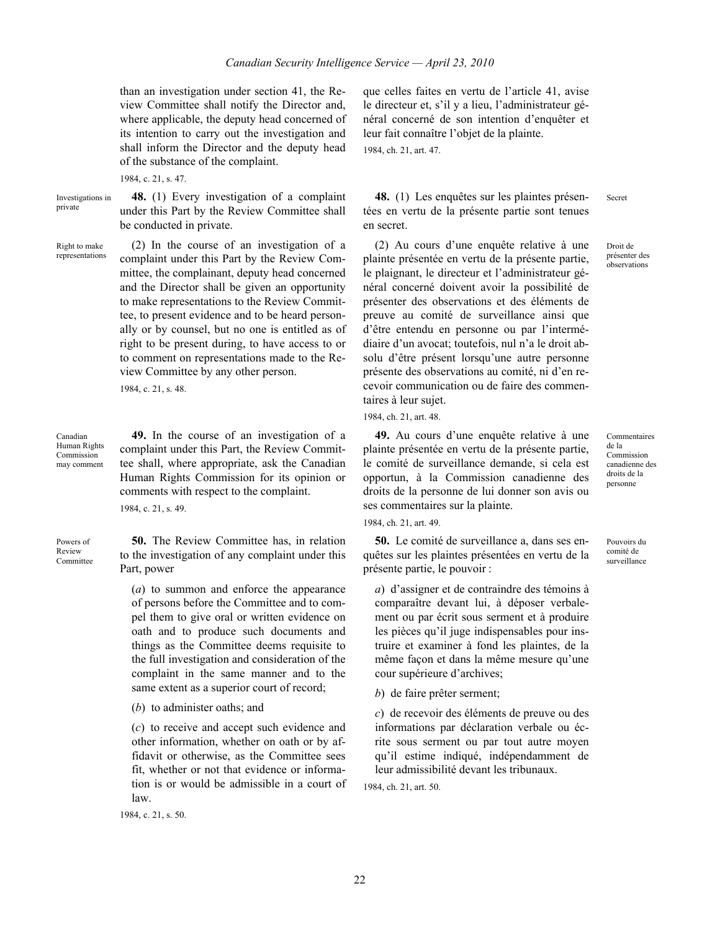than an investigation under section 41, the Review Committee shall notify the Director and, where applicable, the deputy head concerned of its intention to carry out the investigation and shall inform the Director and the deputy head of the substance of the complaint.

1984, c. 21, s. 47.

Investigations in private

**48.** (1) Every investigation of a complaint under this Part by the Review Committee shall be conducted in private.

Right to make representations

(2) In the course of an investigation of a complaint under this Part by the Review Committee, the complainant, deputy head concerned and the Director shall be given an opportunity to make representations to the Review Committee, to present evidence and to be heard personally or by counsel, but no one is entitled as of right to be present during, to have access to or to comment on representations made to the Review Committee by any other person.

1984, c. 21, s. 48.

Canadian Human Rights Commission may comment

**49.** In the course of an investigation of a complaint under this Part, the Review Committee shall, where appropriate, ask the Canadian Human Rights Commission for its opinion or comments with respect to the complaint.

1984, c. 21, s. 49.

Powers of Review Committee

**50.** The Review Committee has, in relation to the investigation of any complaint under this Part, power

(*a*) to summon and enforce the appearance of persons before the Committee and to compel them to give oral or written evidence on oath and to produce such documents and things as the Committee deems requisite to the full investigation and consideration of the complaint in the same manner and to the same extent as a superior court of record;

(*b*) to administer oaths; and

(*c*) to receive and accept such evidence and other information, whether on oath or by affidavit or otherwise, as the Committee sees fit, whether or not that evidence or information is or would be admissible in a court of law.

1984, c. 21, s. 50.

que celles faites en vertu de l'article 41, avise le directeur et, s'il y a lieu, l'administrateur général concerné de son intention d'enquêter et leur fait connaître l'objet de la plainte. 1984, ch. 21, art. 47.

**48.** (1) Les enquêtes sur les plaintes présentées en vertu de la présente partie sont tenues en secret.

(2) Au cours d'une enquête relative à une plainte présentée en vertu de la présente partie, le plaignant, le directeur et l'administrateur général concerné doivent avoir la possibilité de présenter des observations et des éléments de preuve au comité de surveillance ainsi que d'être entendu en personne ou par l'intermédiaire d'un avocat; toutefois, nul n'a le droit absolu d'être présent lorsqu'une autre personne présente des observations au comité, ni d'en recevoir communication ou de faire des commentaires à leur sujet.

1984, ch. 21, art. 48.

**49.** Au cours d'une enquête relative à une plainte présentée en vertu de la présente partie, le comité de surveillance demande, si cela est opportun, à la Commission canadienne des droits de la personne de lui donner son avis ou ses commentaires sur la plainte.

1984, ch. 21, art. 49.

**50.** Le comité de surveillance a, dans ses enquêtes sur les plaintes présentées en vertu de la présente partie, le pouvoir :

*a*) d'assigner et de contraindre des témoins à comparaître devant lui, à déposer verbalement ou par écrit sous serment et à produire les pièces qu'il juge indispensables pour instruire et examiner à fond les plaintes, de la même façon et dans la même mesure qu'une cour supérieure d'archives;

*b*) de faire prêter serment;

*c*) de recevoir des éléments de preuve ou des informations par déclaration verbale ou écrite sous serment ou par tout autre moyen qu'il estime indiqué, indépendamment de leur admissibilité devant les tribunaux.

1984, ch. 21, art. 50.

Secret

Droit de présenter des **observations** 

Commentaires de la Commission canadienne des droits de la personne

Pouvoirs du comité de surveillance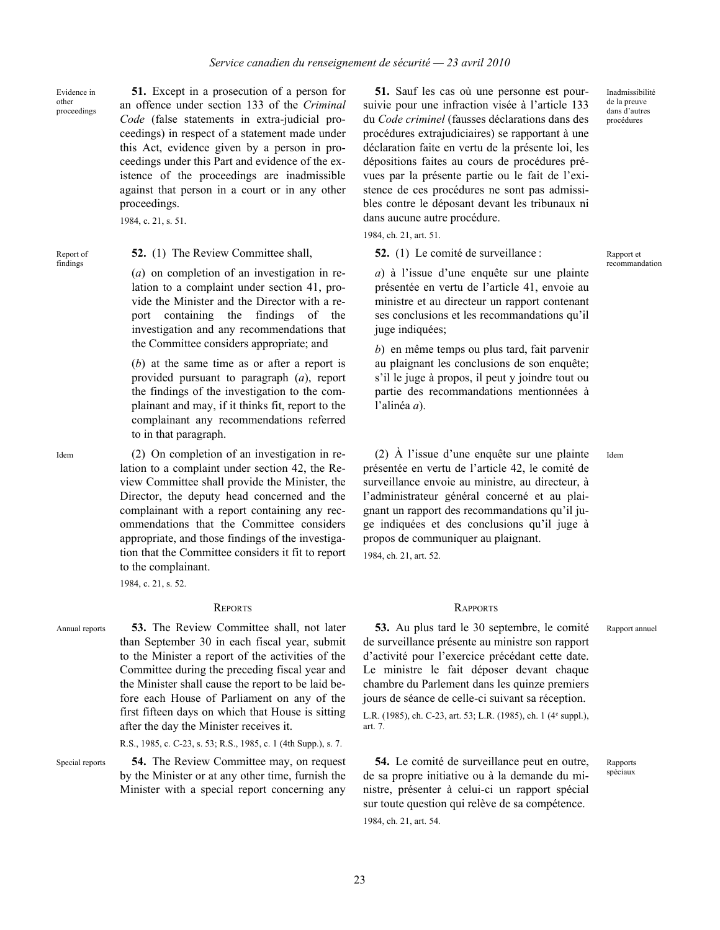Evidence in other proceedings

**51.** Except in a prosecution of a person for an offence under section 133 of the *Criminal Code* (false statements in extra-judicial proceedings) in respect of a statement made under this Act, evidence given by a person in proceedings under this Part and evidence of the existence of the proceedings are inadmissible against that person in a court or in any other proceedings.

1984, c. 21, s. 51.

Report of findings

### **52.** (1) The Review Committee shall,

(*a*) on completion of an investigation in relation to a complaint under section 41, provide the Minister and the Director with a report containing the findings of the investigation and any recommendations that the Committee considers appropriate; and

(*b*) at the same time as or after a report is provided pursuant to paragraph (*a*), report the findings of the investigation to the complainant and may, if it thinks fit, report to the complainant any recommendations referred to in that paragraph.

Idem (2) On completion of an investigation in relation to a complaint under section 42, the Review Committee shall provide the Minister, the Director, the deputy head concerned and the complainant with a report containing any recommendations that the Committee considers appropriate, and those findings of the investigation that the Committee considers it fit to report to the complainant.

1984, c. 21, s. 52.

Annual reports **53.** The Review Committee shall, not later than September 30 in each fiscal year, submit to the Minister a report of the activities of the Committee during the preceding fiscal year and the Minister shall cause the report to be laid before each House of Parliament on any of the first fifteen days on which that House is sitting after the day the Minister receives it.

R.S., 1985, c. C-23, s. 53; R.S., 1985, c. 1 (4th Supp.), s. 7.

Special reports **54.** The Review Committee may, on request by the Minister or at any other time, furnish the Minister with a special report concerning any

**51.** Sauf les cas où une personne est poursuivie pour une infraction visée à l'article 133 du *Code criminel* (fausses déclarations dans des procédures extrajudiciaires) se rapportant à une déclaration faite en vertu de la présente loi, les dépositions faites au cours de procédures prévues par la présente partie ou le fait de l'existence de ces procédures ne sont pas admissibles contre le déposant devant les tribunaux ni dans aucune autre procédure.

1984, ch. 21, art. 51.

**52.** (1) Le comité de surveillance :

*a*) à l'issue d'une enquête sur une plainte présentée en vertu de l'article 41, envoie au ministre et au directeur un rapport contenant ses conclusions et les recommandations qu'il juge indiquées;

*b*) en même temps ou plus tard, fait parvenir au plaignant les conclusions de son enquête; s'il le juge à propos, il peut y joindre tout ou partie des recommandations mentionnées à l'alinéa *a*).

(2) À l'issue d'une enquête sur une plainte présentée en vertu de l'article 42, le comité de surveillance envoie au ministre, au directeur, à l'administrateur général concerné et au plaignant un rapport des recommandations qu'il juge indiquées et des conclusions qu'il juge à propos de communiquer au plaignant. 1984, ch. 21, art. 52.

### REPORTS RAPPORTS

**53.** Au plus tard le 30 septembre, le comité de surveillance présente au ministre son rapport d'activité pour l'exercice précédant cette date. Le ministre le fait déposer devant chaque chambre du Parlement dans les quinze premiers jours de séance de celle-ci suivant sa réception. L.R. (1985), ch. C-23, art. 53; L.R. (1985), ch. 1 (4<sup>e</sup> suppl.), art. 7.

**54.** Le comité de surveillance peut en outre, de sa propre initiative ou à la demande du ministre, présenter à celui-ci un rapport spécial sur toute question qui relève de sa compétence. 1984, ch. 21, art. 54.

Inadmissibilité de la preuve dans d'autres procédures

Rapport et recommandation

Idem

23

Rapports spéciaux

Rapport annuel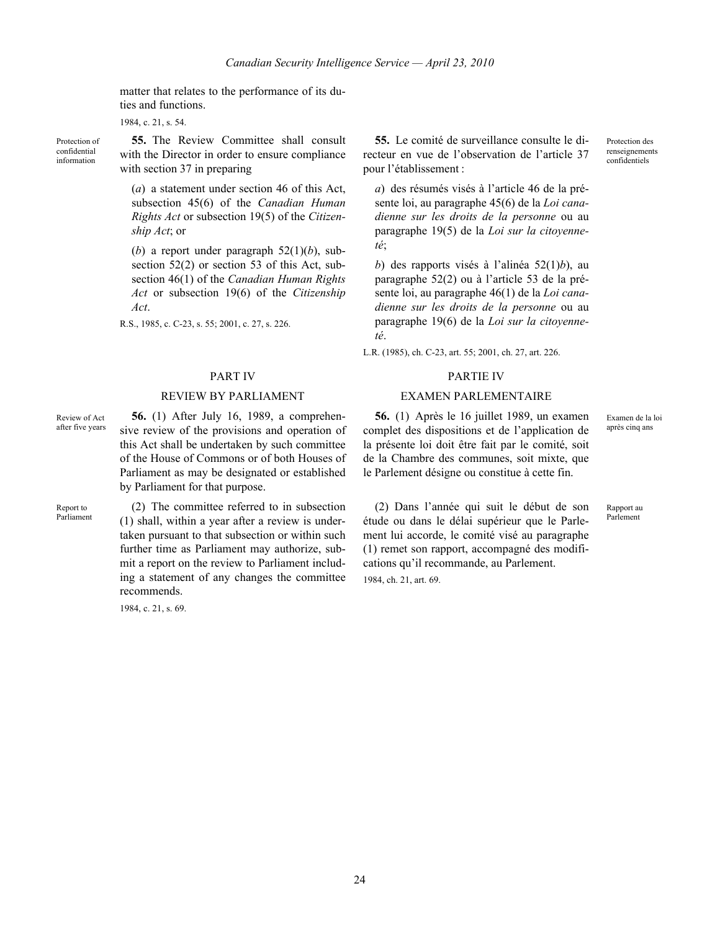matter that relates to the performance of its duties and functions.

1984, c. 21, s. 54.

Protection of confidential information

**55.** The Review Committee shall consult with the Director in order to ensure compliance with section 37 in preparing

(*a*) a statement under section 46 of this Act, subsection 45(6) of the *Canadian Human Rights Act* or subsection 19(5) of the *Citizenship Act*; or

(*b*) a report under paragraph  $52(1)(b)$ , subsection 52(2) or section 53 of this Act, subsection 46(1) of the *Canadian Human Rights Act* or subsection 19(6) of the *Citizenship Act*.

R.S., 1985, c. C-23, s. 55; 2001, c. 27, s. 226.

### REVIEW BY PARLIAMENT EXAMEN PARLEMENTAIRE

Review of Act after five years

**56.** (1) After July 16, 1989, a comprehensive review of the provisions and operation of this Act shall be undertaken by such committee of the House of Commons or of both Houses of Parliament as may be designated or established by Parliament for that purpose.

Report to Parliament

(2) The committee referred to in subsection (1) shall, within a year after a review is undertaken pursuant to that subsection or within such further time as Parliament may authorize, submit a report on the review to Parliament including a statement of any changes the committee recommends.

1984, c. 21, s. 69.

**55.** Le comité de surveillance consulte le directeur en vue de l'observation de l'article 37 pour l'établissement :

*a*) des résumés visés à l'article 46 de la présente loi, au paragraphe 45(6) de la *Loi canadienne sur les droits de la personne* ou au paragraphe 19(5) de la *Loi sur la citoyenneté*;

*b*) des rapports visés à l'alinéa 52(1)*b*), au paragraphe 52(2) ou à l'article 53 de la présente loi, au paragraphe 46(1) de la *Loi canadienne sur les droits de la personne* ou au paragraphe 19(6) de la *Loi sur la citoyenneté*.

L.R. (1985), ch. C-23, art. 55; 2001, ch. 27, art. 226.

# PART IV PARTIE IV

**56.** (1) Après le 16 juillet 1989, un examen complet des dispositions et de l'application de la présente loi doit être fait par le comité, soit de la Chambre des communes, soit mixte, que le Parlement désigne ou constitue à cette fin.

(2) Dans l'année qui suit le début de son étude ou dans le délai supérieur que le Parlement lui accorde, le comité visé au paragraphe (1) remet son rapport, accompagné des modifications qu'il recommande, au Parlement. 1984, ch. 21, art. 69.

Examen de la loi après cinq ans

Protection des renseignements confidentiels

Rapport au Parlement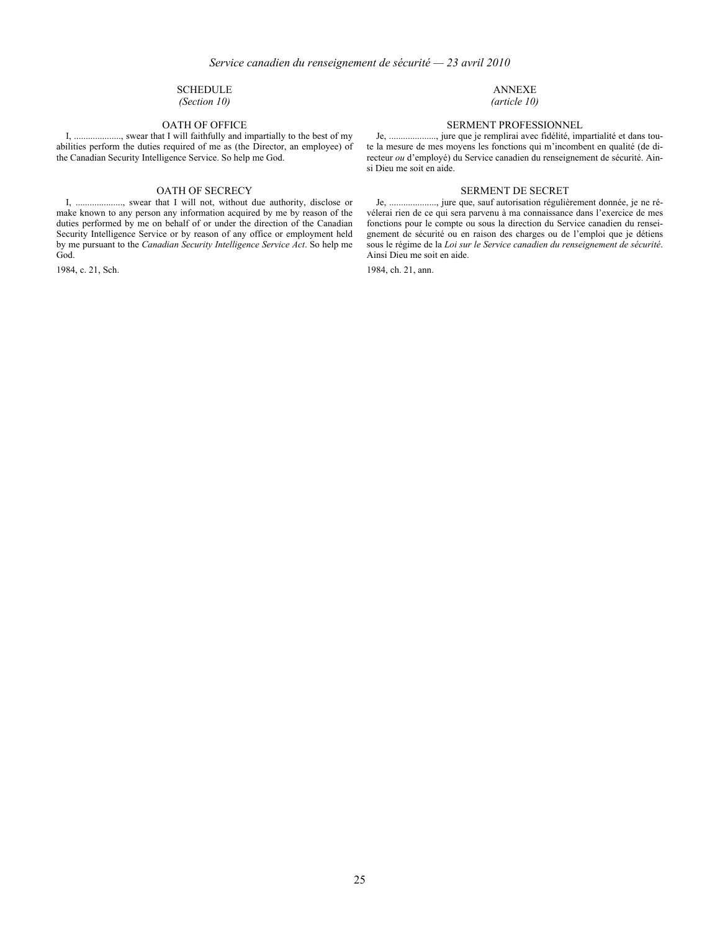### SCHEDULE

*(Section 10)*

I, ...................., swear that I will faithfully and impartially to the best of my abilities perform the duties required of me as (the Director, an employee) of the Canadian Security Intelligence Service. So help me God.

### OATH OF SECRECY SERMENT DE SECRET

I, ...................., swear that I will not, without due authority, disclose or make known to any person any information acquired by me by reason of the duties performed by me on behalf of or under the direction of the Canadian Security Intelligence Service or by reason of any office or employment held by me pursuant to the *Canadian Security Intelligence Service Act*. So help me God.

1984, c. 21, Sch.

### ANNEXE

*(article 10)*

# OATH OF OFFICE SERMENT PROFESSIONNEL

Je, ...................., jure que je remplirai avec fidélité, impartialité et dans toute la mesure de mes moyens les fonctions qui m'incombent en qualité (de directeur *ou* d'employé) du Service canadien du renseignement de sécurité. Ainsi Dieu me soit en aide.

Je, ...................., jure que, sauf autorisation régulièrement donnée, je ne révélerai rien de ce qui sera parvenu à ma connaissance dans l'exercice de mes fonctions pour le compte ou sous la direction du Service canadien du renseignement de sécurité ou en raison des charges ou de l'emploi que je détiens sous le régime de la *Loi sur le Service canadien du renseignement de sécurité*. Ainsi Dieu me soit en aide.

1984, ch. 21, ann.